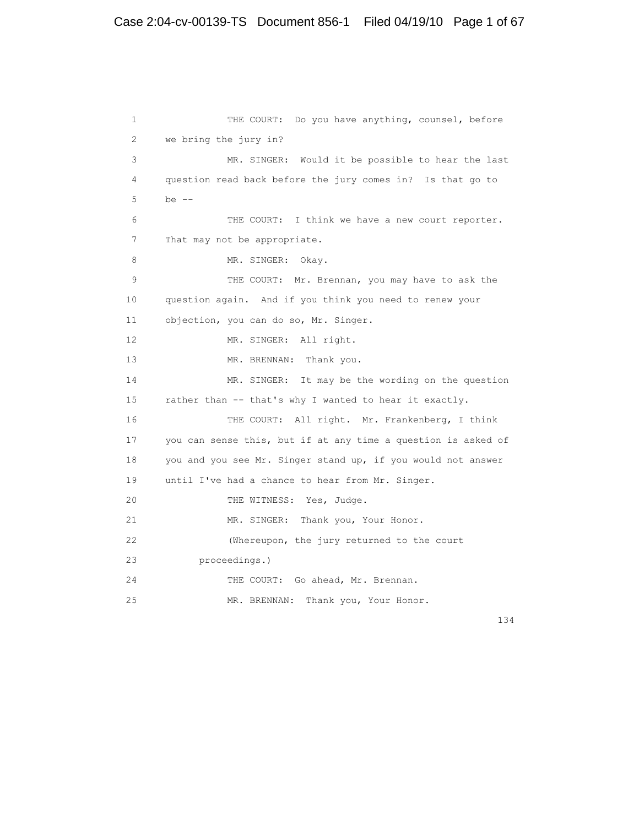```
1 THE COURT: Do you have anything, counsel, before
 2 we bring the jury in?
 3 MR. SINGER: Would it be possible to hear the last
 4 question read back before the jury comes in? Is that go to
5 be - 6 THE COURT: I think we have a new court reporter.
7 That may not be appropriate.
8 MR. SINGER: Okay.
 9 THE COURT: Mr. Brennan, you may have to ask the
 10 question again. And if you think you need to renew your
 11 objection, you can do so, Mr. Singer.
12 MR. SINGER: All right.
13 MR. BRENNAN: Thank you.
 14 MR. SINGER: It may be the wording on the question
 15 rather than -- that's why I wanted to hear it exactly.
 16 THE COURT: All right. Mr. Frankenberg, I think
 17 you can sense this, but if at any time a question is asked of
 18 you and you see Mr. Singer stand up, if you would not answer
 19 until I've had a chance to hear from Mr. Singer.
20 THE WITNESS: Yes, Judge.
21 MR. SINGER: Thank you, Your Honor.
 22 (Whereupon, the jury returned to the court
 23 proceedings.)
24 THE COURT: Go ahead, Mr. Brennan.
 25 MR. BRENNAN: Thank you, Your Honor.
```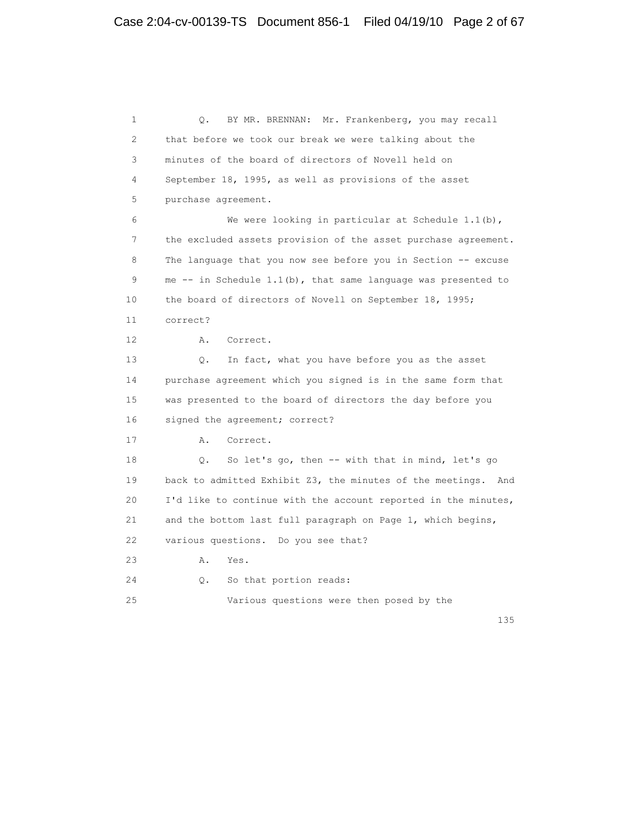1 Q. BY MR. BRENNAN: Mr. Frankenberg, you may recall 2 that before we took our break we were talking about the 3 minutes of the board of directors of Novell held on 4 September 18, 1995, as well as provisions of the asset 5 purchase agreement. 6 We were looking in particular at Schedule 1.1(b), 7 the excluded assets provision of the asset purchase agreement. 8 The language that you now see before you in Section -- excuse 9 me -- in Schedule 1.1(b), that same language was presented to 10 the board of directors of Novell on September 18, 1995; 11 correct? 12 A. Correct. 13 Q. In fact, what you have before you as the asset 14 purchase agreement which you signed is in the same form that 15 was presented to the board of directors the day before you 16 signed the agreement; correct? 17 A. Correct. 18 Q. So let's go, then -- with that in mind, let's go 19 back to admitted Exhibit Z3, the minutes of the meetings. And 20 I'd like to continue with the account reported in the minutes, 21 and the bottom last full paragraph on Page 1, which begins, 22 various questions. Do you see that? 23 A. Yes. 24 Q. So that portion reads: 25 Various questions were then posed by the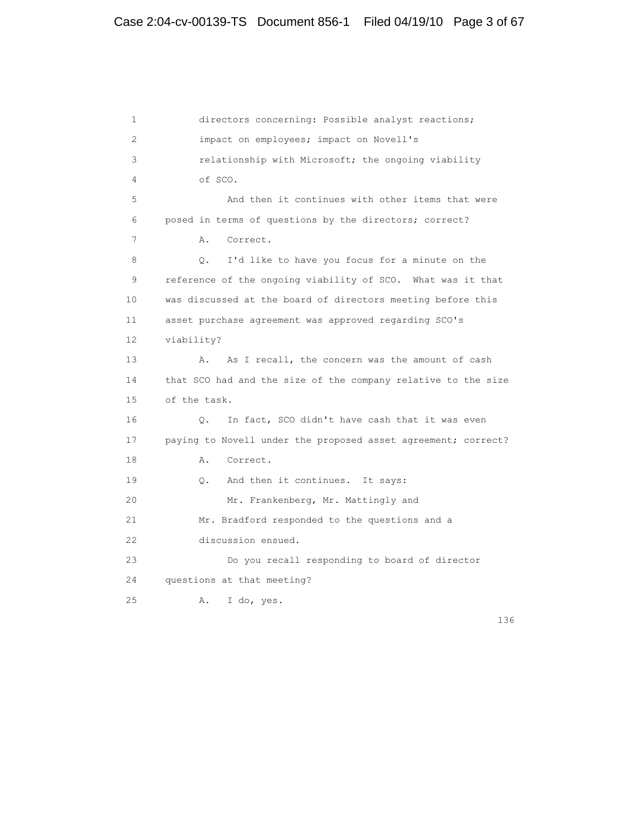1 directors concerning: Possible analyst reactions; 2 impact on employees; impact on Novell's 3 relationship with Microsoft; the ongoing viability 4 of SCO. 5 And then it continues with other items that were 6 posed in terms of questions by the directors; correct? 7 A. Correct. 8 Q. I'd like to have you focus for a minute on the 9 reference of the ongoing viability of SCO. What was it that 10 was discussed at the board of directors meeting before this 11 asset purchase agreement was approved regarding SCO's 12 viability? 13 A. As I recall, the concern was the amount of cash 14 that SCO had and the size of the company relative to the size 15 of the task. 16 Q. In fact, SCO didn't have cash that it was even 17 paying to Novell under the proposed asset agreement; correct? 18 A. Correct. 19 Q. And then it continues. It says: 20 Mr. Frankenberg, Mr. Mattingly and 21 Mr. Bradford responded to the questions and a 22 discussion ensued. 23 Do you recall responding to board of director 24 questions at that meeting? 25 A. I do, yes.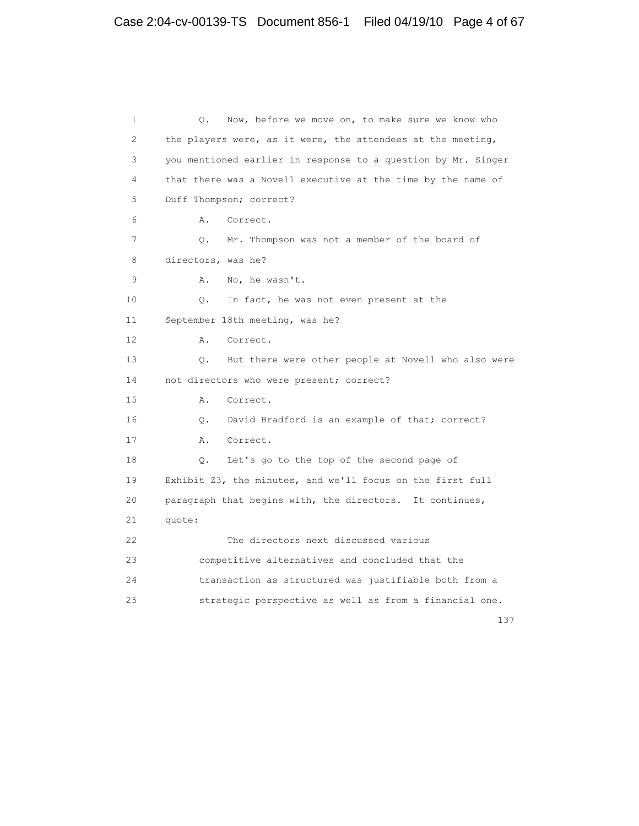```
 1 Q. Now, before we move on, to make sure we know who
2 the players were, as it were, the attendees at the meeting,
 3 you mentioned earlier in response to a question by Mr. Singer
 4 that there was a Novell executive at the time by the name of
 5 Duff Thompson; correct?
 6 A. Correct.
 7 Q. Mr. Thompson was not a member of the board of
 8 directors, was he?
 9 A. No, he wasn't.
 10 Q. In fact, he was not even present at the
 11 September 18th meeting, was he?
 12 A. Correct.
 13 Q. But there were other people at Novell who also were
14 not directors who were present; correct?
 15 A. Correct.
 16 Q. David Bradford is an example of that; correct?
 17 A. Correct.
 18 Q. Let's go to the top of the second page of
 19 Exhibit Z3, the minutes, and we'll focus on the first full
 20 paragraph that begins with, the directors. It continues,
 21 quote:
 22 The directors next discussed various
 23 competitive alternatives and concluded that the
 24 transaction as structured was justifiable both from a
 25 strategic perspective as well as from a financial one.
```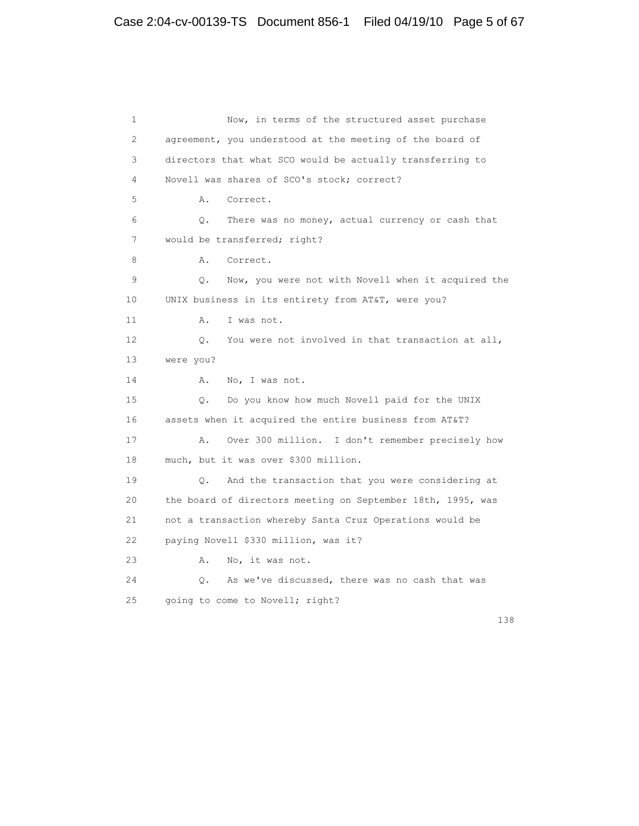```
 1 Now, in terms of the structured asset purchase
 2 agreement, you understood at the meeting of the board of
 3 directors that what SCO would be actually transferring to
 4 Novell was shares of SCO's stock; correct?
 5 A. Correct.
 6 Q. There was no money, actual currency or cash that
 7 would be transferred; right?
8 A. Correct.
 9 Q. Now, you were not with Novell when it acquired the
 10 UNIX business in its entirety from AT&T, were you?
11 A. I was not.
 12 Q. You were not involved in that transaction at all,
 13 were you?
14 A. No, I was not.
 15 Q. Do you know how much Novell paid for the UNIX
 16 assets when it acquired the entire business from AT&T?
 17 A. Over 300 million. I don't remember precisely how
 18 much, but it was over $300 million.
 19 Q. And the transaction that you were considering at
 20 the board of directors meeting on September 18th, 1995, was
 21 not a transaction whereby Santa Cruz Operations would be
 22 paying Novell $330 million, was it?
 23 A. No, it was not.
 24 Q. As we've discussed, there was no cash that was
 25 going to come to Novell; right?
```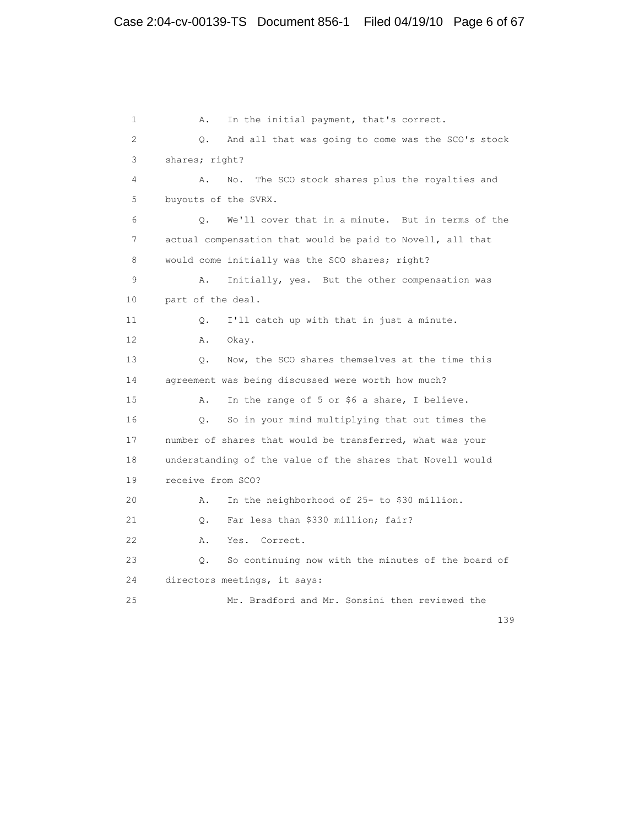1 A. In the initial payment, that's correct. 2 Q. And all that was going to come was the SCO's stock 3 shares; right? 4 A. No. The SCO stock shares plus the royalties and 5 buyouts of the SVRX. 6 Q. We'll cover that in a minute. But in terms of the 7 actual compensation that would be paid to Novell, all that 8 would come initially was the SCO shares; right? 9 A. Initially, yes. But the other compensation was 10 part of the deal. 11 Q. I'll catch up with that in just a minute. 12 A. Okay. 13 Q. Now, the SCO shares themselves at the time this 14 agreement was being discussed were worth how much? 15 A. In the range of 5 or \$6 a share, I believe. 16 Q. So in your mind multiplying that out times the 17 number of shares that would be transferred, what was your 18 understanding of the value of the shares that Novell would 19 receive from SCO? 20 A. In the neighborhood of 25- to \$30 million. 21 Q. Far less than \$330 million; fair? 22 A. Yes. Correct. 23 Q. So continuing now with the minutes of the board of 24 directors meetings, it says: 25 Mr. Bradford and Mr. Sonsini then reviewed the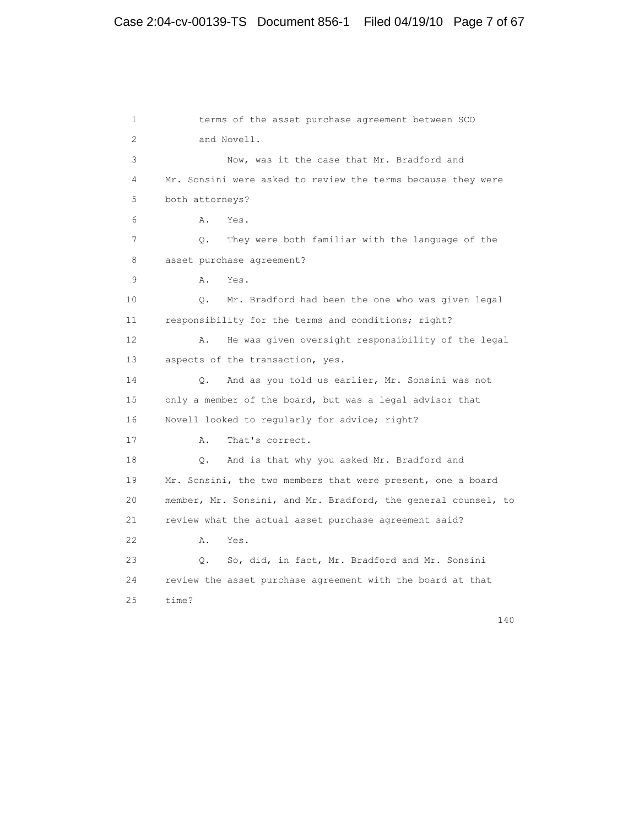# Case 2:04-cv-00139-TS Document 856-1 Filed 04/19/10 Page 7 of 67

 1 terms of the asset purchase agreement between SCO 2 and Novell. 3 Now, was it the case that Mr. Bradford and 4 Mr. Sonsini were asked to review the terms because they were 5 both attorneys? 6 A. Yes. 7 Q. They were both familiar with the language of the 8 asset purchase agreement? 9 A. Yes. 10 Q. Mr. Bradford had been the one who was given legal 11 responsibility for the terms and conditions; right? 12 A. He was given oversight responsibility of the legal 13 aspects of the transaction, yes. 14 Q. And as you told us earlier, Mr. Sonsini was not 15 only a member of the board, but was a legal advisor that 16 Novell looked to regularly for advice; right? 17 A. That's correct. 18 Q. And is that why you asked Mr. Bradford and 19 Mr. Sonsini, the two members that were present, one a board 20 member, Mr. Sonsini, and Mr. Bradford, the general counsel, to 21 review what the actual asset purchase agreement said? 22 A. Yes. 23 Q. So, did, in fact, Mr. Bradford and Mr. Sonsini 24 review the asset purchase agreement with the board at that 25 time?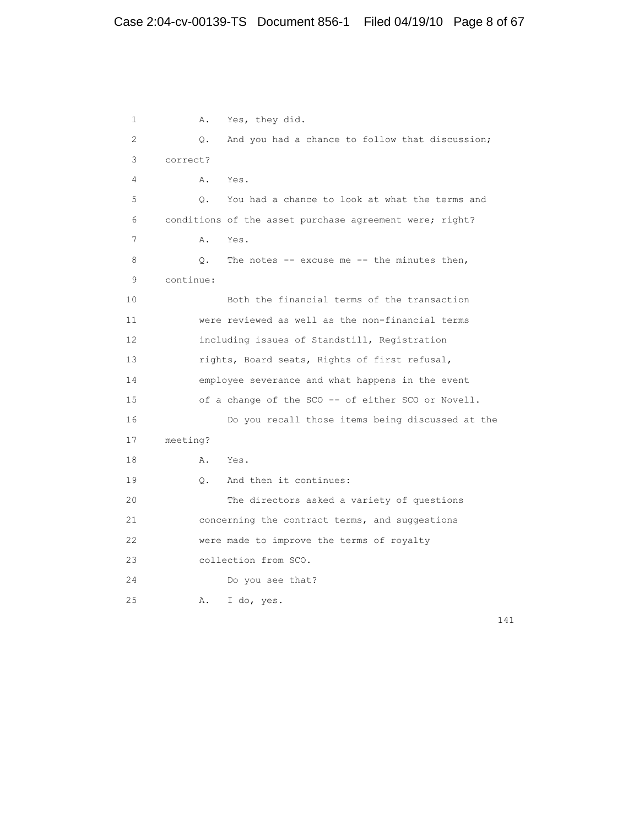1 A. Yes, they did. 2 Q. And you had a chance to follow that discussion; 3 correct? 4 A. Yes. 5 Q. You had a chance to look at what the terms and 6 conditions of the asset purchase agreement were; right? 7 A. Yes. 8 Q. The notes -- excuse me -- the minutes then, 9 continue: 10 Both the financial terms of the transaction 11 were reviewed as well as the non-financial terms 12 including issues of Standstill, Registration 13 rights, Board seats, Rights of first refusal, 14 employee severance and what happens in the event 15 of a change of the SCO -- of either SCO or Novell. 16 Do you recall those items being discussed at the 17 meeting? 18 A. Yes. 19 Q. And then it continues: 20 The directors asked a variety of questions 21 concerning the contract terms, and suggestions 22 were made to improve the terms of royalty 23 collection from SCO. 24 Do you see that? 25 A. I do, yes.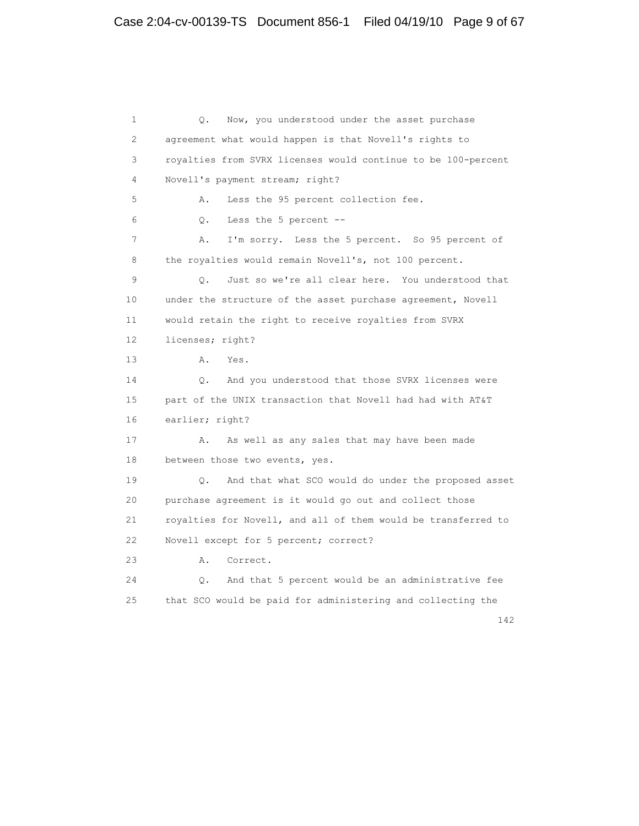1  $Q.$  Now, you understood under the asset purchase 2 agreement what would happen is that Novell's rights to 3 royalties from SVRX licenses would continue to be 100-percent 4 Novell's payment stream; right? 5 A. Less the 95 percent collection fee. 6 Q. Less the 5 percent -- 7 A. I'm sorry. Less the 5 percent. So 95 percent of 8 the royalties would remain Novell's, not 100 percent. 9 Q. Just so we're all clear here. You understood that 10 under the structure of the asset purchase agreement, Novell 11 would retain the right to receive royalties from SVRX 12 licenses; right? 13 A. Yes. 14 Q. And you understood that those SVRX licenses were 15 part of the UNIX transaction that Novell had had with AT&T 16 earlier; right? 17 A. As well as any sales that may have been made 18 between those two events, yes. 19 Q. And that what SCO would do under the proposed asset 20 purchase agreement is it would go out and collect those 21 royalties for Novell, and all of them would be transferred to 22 Novell except for 5 percent; correct? 23 A. Correct. 24 Q. And that 5 percent would be an administrative fee 25 that SCO would be paid for administering and collecting the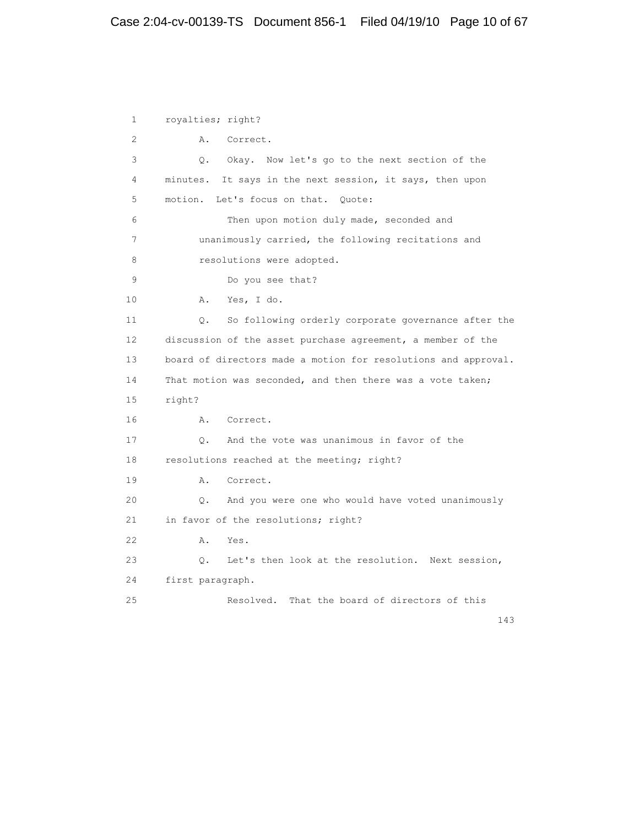# Case 2:04-cv-00139-TS Document 856-1 Filed 04/19/10 Page 10 of 67

 1 royalties; right? 2 A. Correct. 3 Q. Okay. Now let's go to the next section of the 4 minutes. It says in the next session, it says, then upon 5 motion. Let's focus on that. Quote: 6 Then upon motion duly made, seconded and 7 unanimously carried, the following recitations and 8 resolutions were adopted. 9 Do you see that? 10 A. Yes, I do. 11 Q. So following orderly corporate governance after the 12 discussion of the asset purchase agreement, a member of the 13 board of directors made a motion for resolutions and approval. 14 That motion was seconded, and then there was a vote taken; 15 right? 16 A. Correct. 17 Q. And the vote was unanimous in favor of the 18 resolutions reached at the meeting; right? 19 A. Correct. 20 Q. And you were one who would have voted unanimously 21 in favor of the resolutions; right? 22 A. Yes. 23 Q. Let's then look at the resolution. Next session, 24 first paragraph. 25 Resolved. That the board of directors of this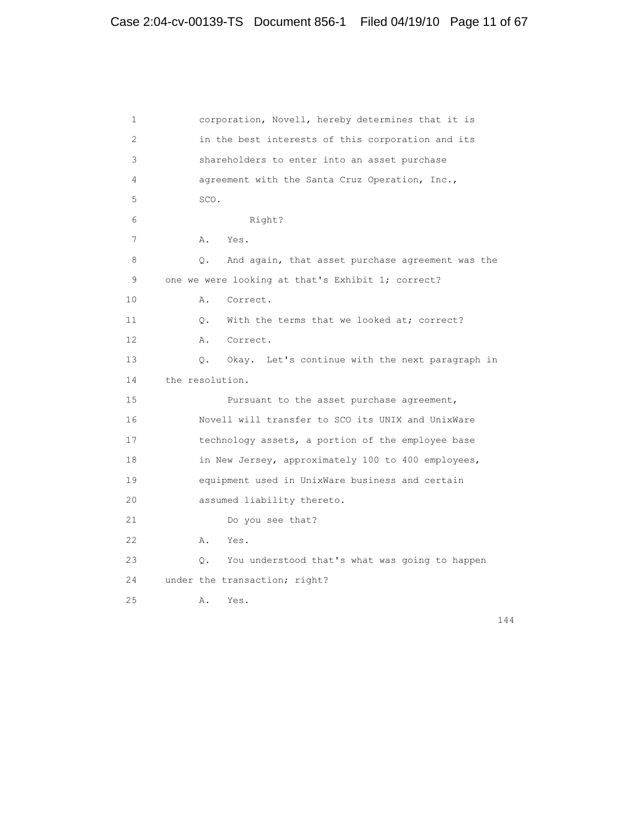| 1               | corporation, Novell, hereby determines that it is           |
|-----------------|-------------------------------------------------------------|
| 2               | in the best interests of this corporation and its           |
| 3               | shareholders to enter into an asset purchase                |
| 4               | agreement with the Santa Cruz Operation, Inc.,              |
| 5               | SCO.                                                        |
| 6               | Right?                                                      |
| 7               | Yes.<br>Α.                                                  |
| 8               | And again, that asset purchase agreement was the<br>Q.      |
| 9               | one we were looking at that's Exhibit 1; correct?           |
| 10              | Α.<br>Correct.                                              |
| 11              | With the terms that we looked at; correct?<br>$\circ$ .     |
| 12 <sup>°</sup> | Α.<br>Correct.                                              |
| 13              | Okay. Let's continue with the next paragraph in<br>Q.       |
| 14              | the resolution.                                             |
| 15              | Pursuant to the asset purchase agreement,                   |
| 16              | Novell will transfer to SCO its UNIX and UnixWare           |
| 17              | technology assets, a portion of the employee base           |
| 18              | in New Jersey, approximately 100 to 400 employees,          |
| 19              | equipment used in UnixWare business and certain             |
| 20              | assumed liability thereto.                                  |
| 21              | Do you see that?                                            |
| 22              | A.<br>Yes.                                                  |
| 23              | You understood that's what was going to happen<br>$\circ$ . |
| 24              | under the transaction; right?                               |
| 25              | Α.<br>Yes.                                                  |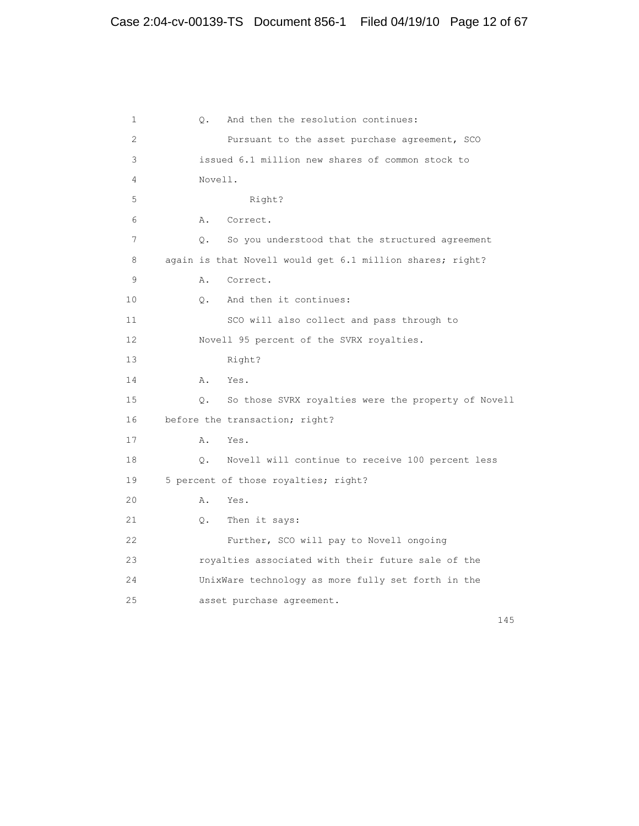```
 1 Q. And then the resolution continues:
 2 Pursuant to the asset purchase agreement, SCO
 3 issued 6.1 million new shares of common stock to
 4 Novell.
 5 Right?
 6 A. Correct.
 7 Q. So you understood that the structured agreement
8 again is that Novell would get 6.1 million shares; right?
 9 A. Correct.
 10 Q. And then it continues:
 11 SCO will also collect and pass through to
 12 Novell 95 percent of the SVRX royalties.
 13 Right?
 14 A. Yes.
 15 Q. So those SVRX royalties were the property of Novell
 16 before the transaction; right?
17 A. Yes.
 18 Q. Novell will continue to receive 100 percent less
 19 5 percent of those royalties; right?
 20 A. Yes.
 21 Q. Then it says:
 22 Further, SCO will pay to Novell ongoing
 23 royalties associated with their future sale of the
 24 UnixWare technology as more fully set forth in the
 25 asset purchase agreement.
```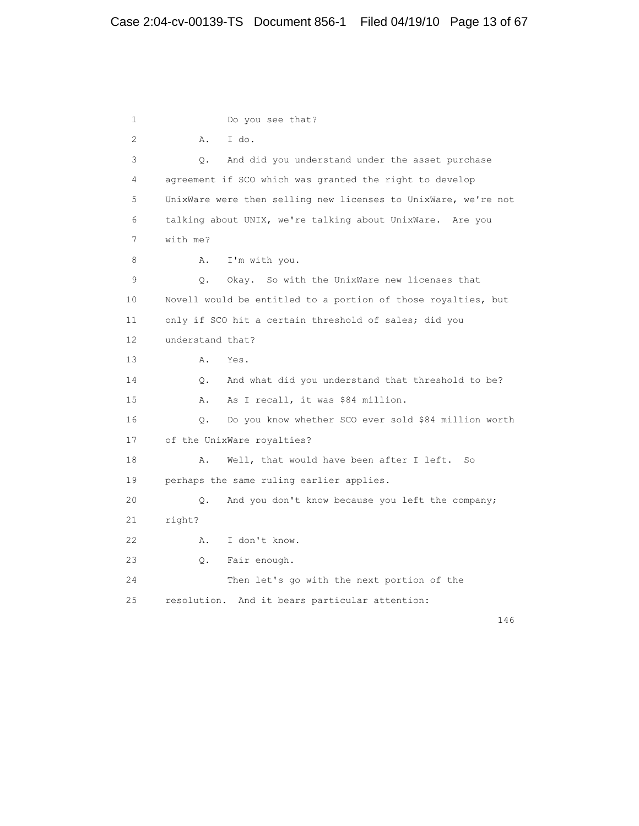1 Do you see that? 2 A. I do. 3 Q. And did you understand under the asset purchase 4 agreement if SCO which was granted the right to develop 5 UnixWare were then selling new licenses to UnixWare, we're not 6 talking about UNIX, we're talking about UnixWare. Are you 7 with me? 8 A. I'm with you. 9 Q. Okay. So with the UnixWare new licenses that 10 Novell would be entitled to a portion of those royalties, but 11 only if SCO hit a certain threshold of sales; did you 12 understand that? 13 A. Yes. 14 Q. And what did you understand that threshold to be? 15 A. As I recall, it was \$84 million. 16 Q. Do you know whether SCO ever sold \$84 million worth 17 of the UnixWare royalties? 18 A. Well, that would have been after I left. So 19 perhaps the same ruling earlier applies. 20 Q. And you don't know because you left the company; 21 right? 22 A. I don't know. 23 Q. Fair enough. 24 Then let's go with the next portion of the 25 resolution. And it bears particular attention: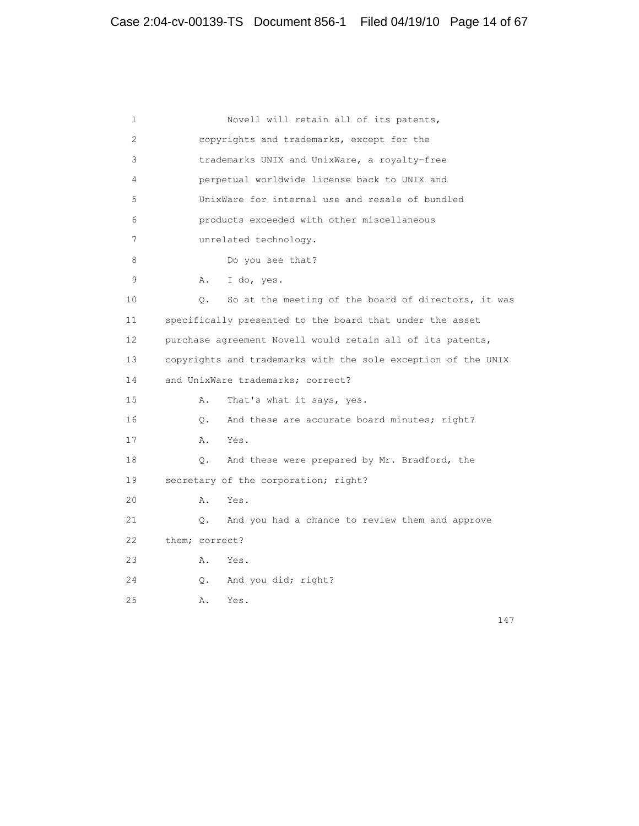```
 1 Novell will retain all of its patents,
 2 copyrights and trademarks, except for the
 3 trademarks UNIX and UnixWare, a royalty-free
 4 perpetual worldwide license back to UNIX and
 5 UnixWare for internal use and resale of bundled
 6 products exceeded with other miscellaneous
 7 unrelated technology.
8 Do you see that?
 9 A. I do, yes.
 10 Q. So at the meeting of the board of directors, it was
 11 specifically presented to the board that under the asset
 12 purchase agreement Novell would retain all of its patents,
 13 copyrights and trademarks with the sole exception of the UNIX
14 and UnixWare trademarks; correct?
 15 A. That's what it says, yes.
 16 Q. And these are accurate board minutes; right?
 17 A. Yes.
 18 Q. And these were prepared by Mr. Bradford, the
 19 secretary of the corporation; right?
 20 A. Yes.
 21 Q. And you had a chance to review them and approve
 22 them; correct?
 23 A. Yes.
 24 Q. And you did; right?
 25 A. Yes.
```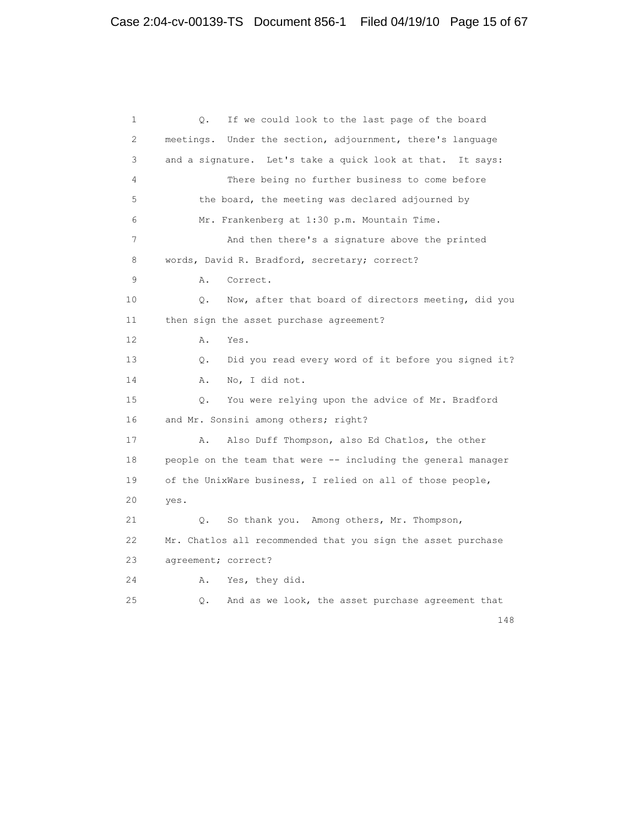1 Q. If we could look to the last page of the board 2 meetings. Under the section, adjournment, there's language 3 and a signature. Let's take a quick look at that. It says: 4 There being no further business to come before 5 the board, the meeting was declared adjourned by 6 Mr. Frankenberg at 1:30 p.m. Mountain Time. 7 And then there's a signature above the printed 8 words, David R. Bradford, secretary; correct? 9 A. Correct. 10 Q. Now, after that board of directors meeting, did you 11 then sign the asset purchase agreement? 12 A. Yes. 13 Q. Did you read every word of it before you signed it? 14 A. No, I did not. 15 Q. You were relying upon the advice of Mr. Bradford 16 and Mr. Sonsini among others; right? 17 A. Also Duff Thompson, also Ed Chatlos, the other 18 people on the team that were -- including the general manager 19 of the UnixWare business, I relied on all of those people, 20 yes. 21 Q. So thank you. Among others, Mr. Thompson, 22 Mr. Chatlos all recommended that you sign the asset purchase 23 agreement; correct? 24 A. Yes, they did. 25 Q. And as we look, the asset purchase agreement that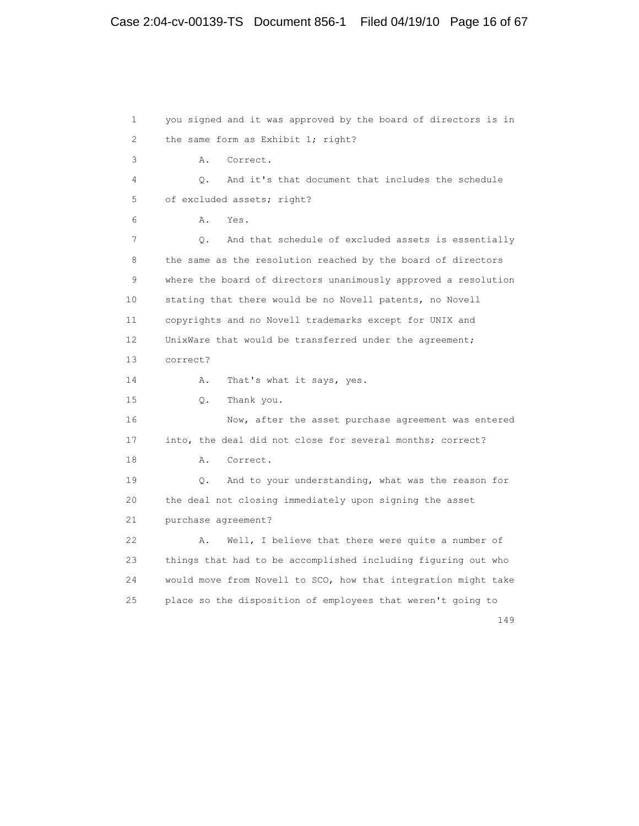```
 1 you signed and it was approved by the board of directors is in
2 the same form as Exhibit 1; right?
 3 A. Correct.
 4 Q. And it's that document that includes the schedule
 5 of excluded assets; right?
 6 A. Yes.
 7 Q. And that schedule of excluded assets is essentially
 8 the same as the resolution reached by the board of directors
 9 where the board of directors unanimously approved a resolution
 10 stating that there would be no Novell patents, no Novell
 11 copyrights and no Novell trademarks except for UNIX and
12 UnixWare that would be transferred under the agreement;
 13 correct?
14 A. That's what it says, yes.
 15 Q. Thank you.
 16 Now, after the asset purchase agreement was entered
 17 into, the deal did not close for several months; correct?
 18 A. Correct.
 19 Q. And to your understanding, what was the reason for
 20 the deal not closing immediately upon signing the asset
 21 purchase agreement?
 22 A. Well, I believe that there were quite a number of
 23 things that had to be accomplished including figuring out who
 24 would move from Novell to SCO, how that integration might take
 25 place so the disposition of employees that weren't going to
```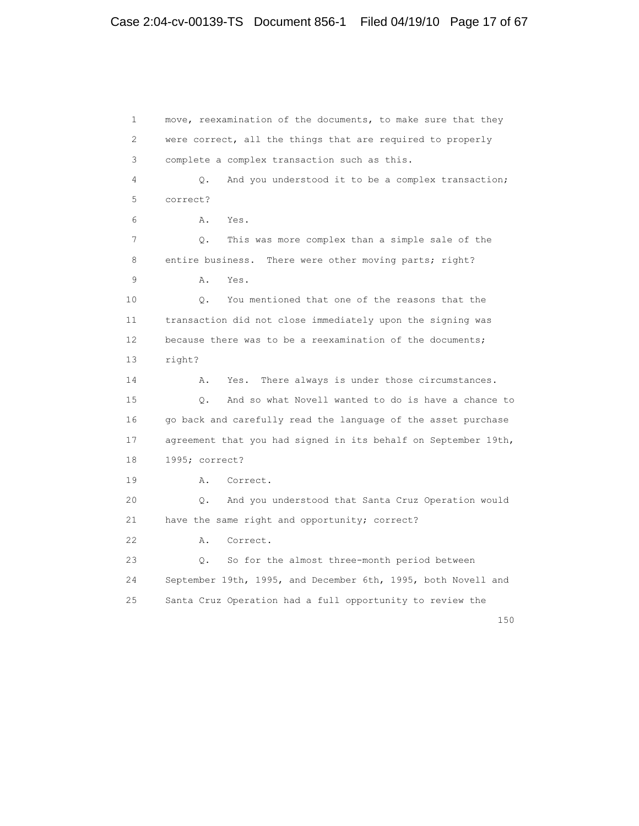1 move, reexamination of the documents, to make sure that they 2 were correct, all the things that are required to properly 3 complete a complex transaction such as this. 4 Q. And you understood it to be a complex transaction; 5 correct? 6 A. Yes. 7 Q. This was more complex than a simple sale of the 8 entire business. There were other moving parts; right? 9 A. Yes. 10 Q. You mentioned that one of the reasons that the 11 transaction did not close immediately upon the signing was 12 because there was to be a reexamination of the documents; 13 right? 14 A. Yes. There always is under those circumstances. 15 Q. And so what Novell wanted to do is have a chance to 16 go back and carefully read the language of the asset purchase 17 agreement that you had signed in its behalf on September 19th, 18 1995; correct? 19 A. Correct. 20 Q. And you understood that Santa Cruz Operation would 21 have the same right and opportunity; correct? 22 A. Correct. 23 Q. So for the almost three-month period between 24 September 19th, 1995, and December 6th, 1995, both Novell and 25 Santa Cruz Operation had a full opportunity to review the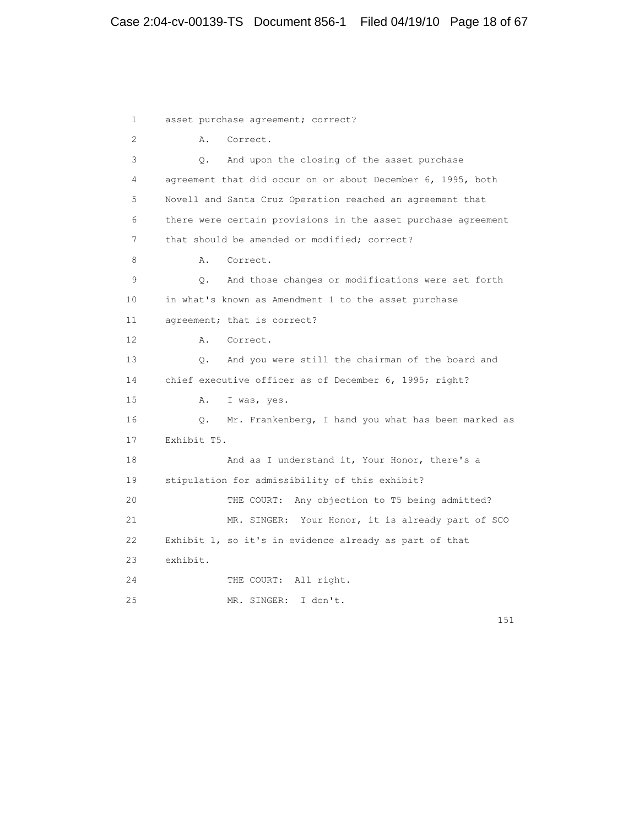1 asset purchase agreement; correct? 2 A. Correct. 3 Q. And upon the closing of the asset purchase 4 agreement that did occur on or about December 6, 1995, both 5 Novell and Santa Cruz Operation reached an agreement that 6 there were certain provisions in the asset purchase agreement 7 that should be amended or modified; correct? 8 A. Correct. 9 Q. And those changes or modifications were set forth 10 in what's known as Amendment 1 to the asset purchase 11 agreement; that is correct? 12 A. Correct. 13 Q. And you were still the chairman of the board and 14 chief executive officer as of December 6, 1995; right? 15 A. I was, yes. 16 Q. Mr. Frankenberg, I hand you what has been marked as 17 Exhibit T5. 18 And as I understand it, Your Honor, there's a 19 stipulation for admissibility of this exhibit? 20 THE COURT: Any objection to T5 being admitted? 21 MR. SINGER: Your Honor, it is already part of SCO 22 Exhibit 1, so it's in evidence already as part of that 23 exhibit. 24 THE COURT: All right. 25 MR. SINGER: I don't.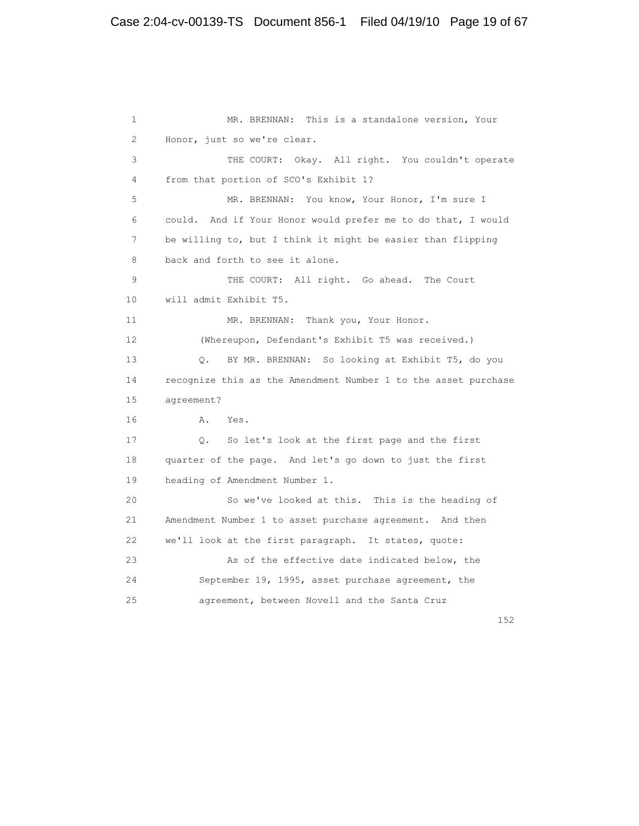```
 1 MR. BRENNAN: This is a standalone version, Your
 2 Honor, just so we're clear.
 3 THE COURT: Okay. All right. You couldn't operate
 4 from that portion of SCO's Exhibit 1?
 5 MR. BRENNAN: You know, Your Honor, I'm sure I
 6 could. And if Your Honor would prefer me to do that, I would
 7 be willing to, but I think it might be easier than flipping
 8 back and forth to see it alone.
 9 THE COURT: All right. Go ahead. The Court
 10 will admit Exhibit T5.
11 MR. BRENNAN: Thank you, Your Honor.
 12 (Whereupon, Defendant's Exhibit T5 was received.)
 13 Q. BY MR. BRENNAN: So looking at Exhibit T5, do you
 14 recognize this as the Amendment Number 1 to the asset purchase
 15 agreement?
 16 A. Yes.
 17 Q. So let's look at the first page and the first
 18 quarter of the page. And let's go down to just the first
 19 heading of Amendment Number 1.
 20 So we've looked at this. This is the heading of
 21 Amendment Number 1 to asset purchase agreement. And then
 22 we'll look at the first paragraph. It states, quote:
 23 As of the effective date indicated below, the
 24 September 19, 1995, asset purchase agreement, the
 25 agreement, between Novell and the Santa Cruz
```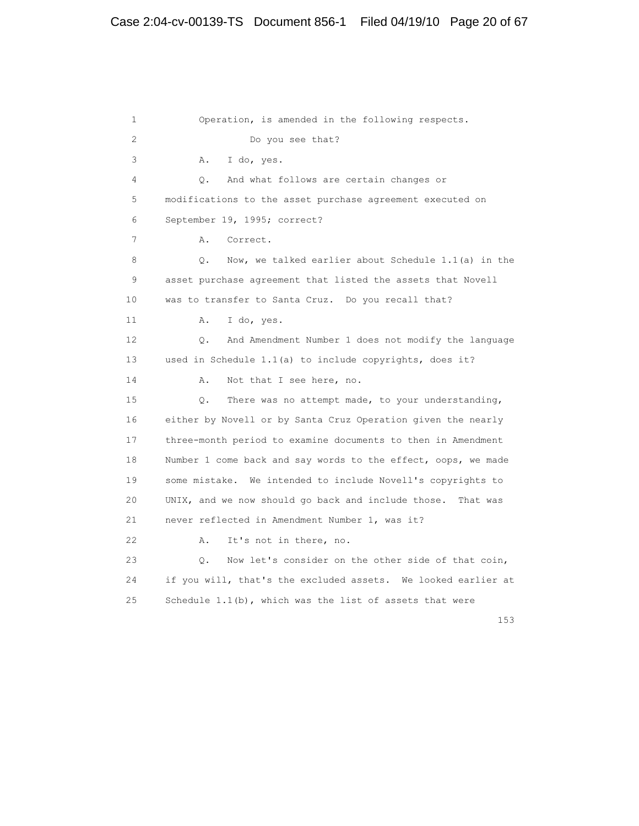1 Operation, is amended in the following respects. 2 Do you see that? 3 A. I do, yes. 4 Q. And what follows are certain changes or 5 modifications to the asset purchase agreement executed on 6 September 19, 1995; correct? 7 A. Correct. 8 Q. Now, we talked earlier about Schedule 1.1(a) in the 9 asset purchase agreement that listed the assets that Novell 10 was to transfer to Santa Cruz. Do you recall that? 11 A. I do, yes. 12 Q. And Amendment Number 1 does not modify the language 13 used in Schedule 1.1(a) to include copyrights, does it? 14 A. Not that I see here, no. 15 Q. There was no attempt made, to your understanding, 16 either by Novell or by Santa Cruz Operation given the nearly 17 three-month period to examine documents to then in Amendment 18 Number 1 come back and say words to the effect, oops, we made 19 some mistake. We intended to include Novell's copyrights to 20 UNIX, and we now should go back and include those. That was 21 never reflected in Amendment Number 1, was it? 22 A. It's not in there, no. 23 Q. Now let's consider on the other side of that coin, 24 if you will, that's the excluded assets. We looked earlier at 25 Schedule 1.1(b), which was the list of assets that were

153 and 153 and 153 and 153 and 153 and 153 and 153 and 153 and 153 and 153 and 153 and 153 and 153 and 153 and 153 and 153 and 153 and 153 and 153 and 153 and 153 and 153 and 153 and 153 and 153 and 153 and 153 and 153 an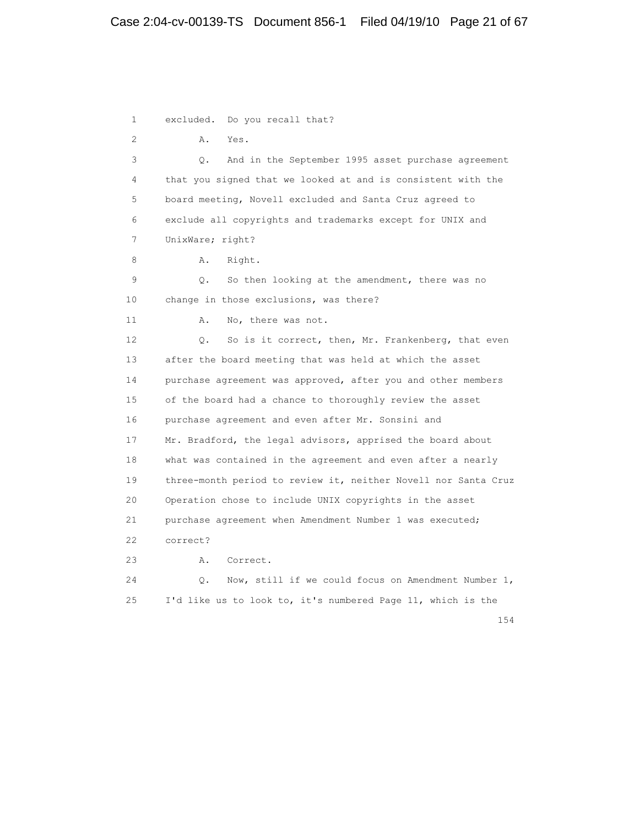# Case 2:04-cv-00139-TS Document 856-1 Filed 04/19/10 Page 21 of 67

 1 excluded. Do you recall that? 2 A. Yes. 3 Q. And in the September 1995 asset purchase agreement 4 that you signed that we looked at and is consistent with the 5 board meeting, Novell excluded and Santa Cruz agreed to 6 exclude all copyrights and trademarks except for UNIX and 7 UnixWare; right? 8 A. Right. 9 Q. So then looking at the amendment, there was no 10 change in those exclusions, was there? 11 A. No, there was not. 12 Q. So is it correct, then, Mr. Frankenberg, that even 13 after the board meeting that was held at which the asset 14 purchase agreement was approved, after you and other members 15 of the board had a chance to thoroughly review the asset 16 purchase agreement and even after Mr. Sonsini and 17 Mr. Bradford, the legal advisors, apprised the board about 18 what was contained in the agreement and even after a nearly 19 three-month period to review it, neither Novell nor Santa Cruz 20 Operation chose to include UNIX copyrights in the asset 21 purchase agreement when Amendment Number 1 was executed; 22 correct? 23 A. Correct. 24 Q. Now, still if we could focus on Amendment Number 1, 25 I'd like us to look to, it's numbered Page 11, which is the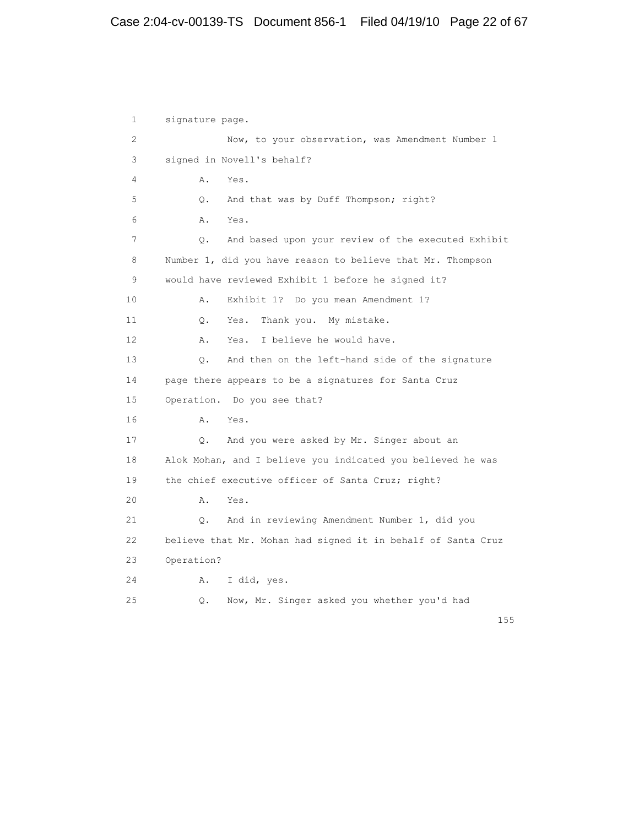1 signature page. 2 Now, to your observation, was Amendment Number 1 3 signed in Novell's behalf? 4 A. Yes. 5 Q. And that was by Duff Thompson; right? 6 A. Yes. 7 Q. And based upon your review of the executed Exhibit 8 Number 1, did you have reason to believe that Mr. Thompson 9 would have reviewed Exhibit 1 before he signed it? 10 A. Exhibit 1? Do you mean Amendment 1? 11 Q. Yes. Thank you. My mistake. 12 A. Yes. I believe he would have. 13 Q. And then on the left-hand side of the signature 14 page there appears to be a signatures for Santa Cruz 15 Operation. Do you see that? 16 A. Yes. 17 Q. And you were asked by Mr. Singer about an 18 Alok Mohan, and I believe you indicated you believed he was 19 the chief executive officer of Santa Cruz; right? 20 A. Yes. 21 Q. And in reviewing Amendment Number 1, did you 22 believe that Mr. Mohan had signed it in behalf of Santa Cruz 23 Operation? 24 A. I did, yes. 25 Q. Now, Mr. Singer asked you whether you'd had

n 155 and 155 and 155 and 155 and 155 and 155 and 155 and 155 and 155 and 155 and 155 and 155 and 155 and 155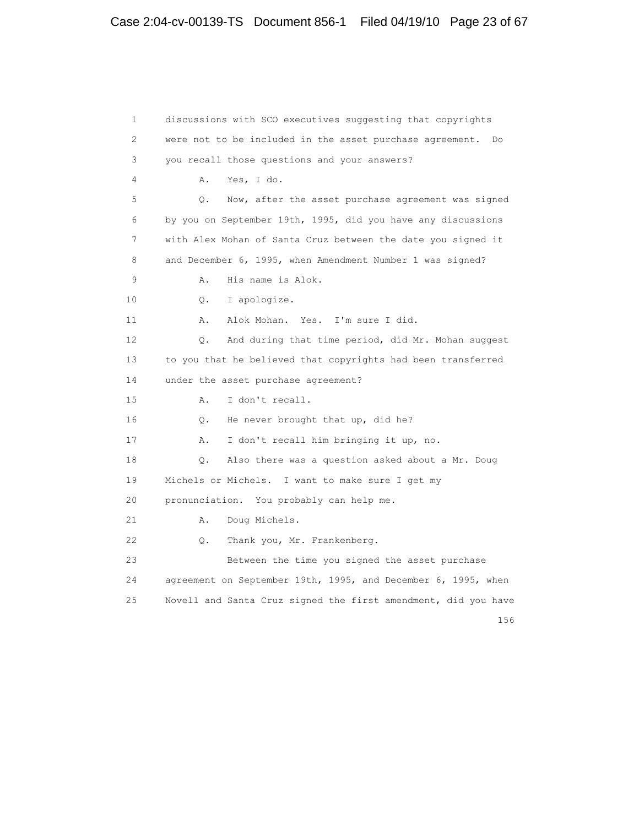1 discussions with SCO executives suggesting that copyrights 2 were not to be included in the asset purchase agreement. Do 3 you recall those questions and your answers? 4 A. Yes, I do. 5 Q. Now, after the asset purchase agreement was signed 6 by you on September 19th, 1995, did you have any discussions 7 with Alex Mohan of Santa Cruz between the date you signed it 8 and December 6, 1995, when Amendment Number 1 was signed? 9 A. His name is Alok. 10 Q. I apologize. 11 A. Alok Mohan. Yes. I'm sure I did. 12 Q. And during that time period, did Mr. Mohan suggest 13 to you that he believed that copyrights had been transferred 14 under the asset purchase agreement? 15 A. I don't recall. 16 Q. He never brought that up, did he? 17 A. I don't recall him bringing it up, no. 18 Q. Also there was a question asked about a Mr. Doug 19 Michels or Michels. I want to make sure I get my 20 pronunciation. You probably can help me. 21 A. Doug Michels. 22 Q. Thank you, Mr. Frankenberg. 23 Between the time you signed the asset purchase 24 agreement on September 19th, 1995, and December 6, 1995, when 25 Novell and Santa Cruz signed the first amendment, did you have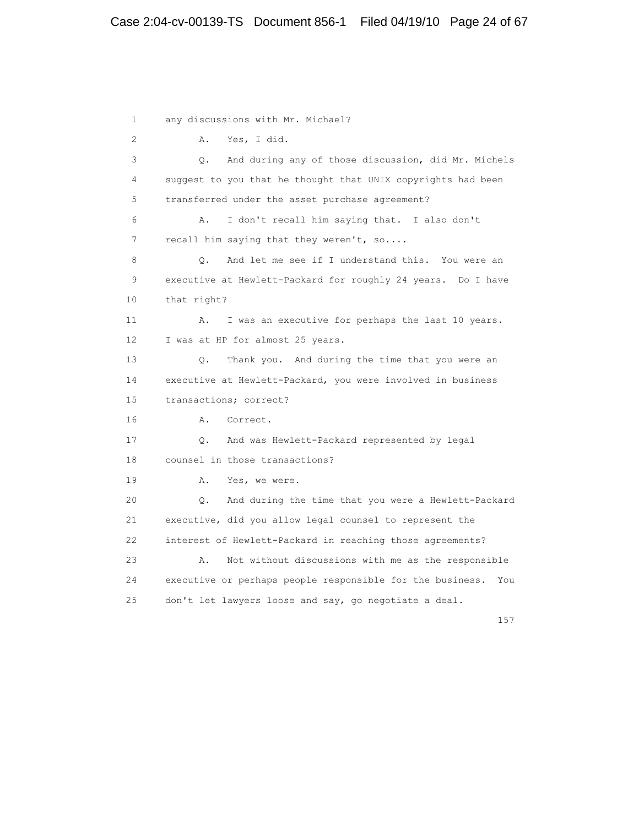1 any discussions with Mr. Michael? 2 A. Yes, I did. 3 Q. And during any of those discussion, did Mr. Michels 4 suggest to you that he thought that UNIX copyrights had been 5 transferred under the asset purchase agreement? 6 A. I don't recall him saying that. I also don't 7 recall him saying that they weren't, so.... 8 Q. And let me see if I understand this. You were an 9 executive at Hewlett-Packard for roughly 24 years. Do I have 10 that right? 11 A. I was an executive for perhaps the last 10 years. 12 I was at HP for almost 25 years. 13 Q. Thank you. And during the time that you were an 14 executive at Hewlett-Packard, you were involved in business 15 transactions; correct? 16 A. Correct. 17 Q. And was Hewlett-Packard represented by legal 18 counsel in those transactions? 19 A. Yes, we were. 20 Q. And during the time that you were a Hewlett-Packard 21 executive, did you allow legal counsel to represent the 22 interest of Hewlett-Packard in reaching those agreements? 23 A. Not without discussions with me as the responsible 24 executive or perhaps people responsible for the business. You 25 don't let lawyers loose and say, go negotiate a deal.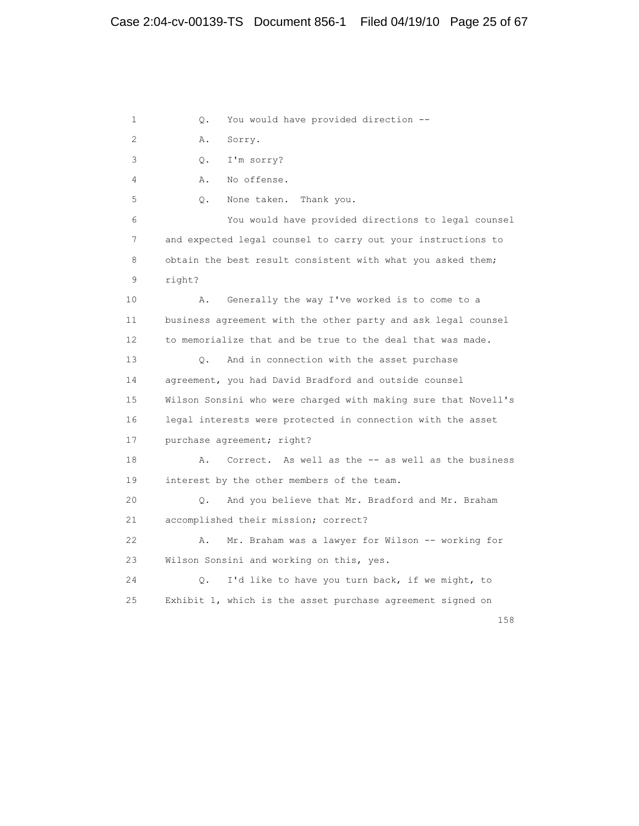1 Q. You would have provided direction -- 2 A. Sorry. 3 Q. I'm sorry? 4 A. No offense. 5 Q. None taken. Thank you. 6 You would have provided directions to legal counsel 7 and expected legal counsel to carry out your instructions to 8 obtain the best result consistent with what you asked them; 9 right? 10 A. Generally the way I've worked is to come to a 11 business agreement with the other party and ask legal counsel 12 to memorialize that and be true to the deal that was made. 13 Q. And in connection with the asset purchase 14 agreement, you had David Bradford and outside counsel 15 Wilson Sonsini who were charged with making sure that Novell's 16 legal interests were protected in connection with the asset 17 purchase agreement; right? 18 A. Correct. As well as the -- as well as the business 19 interest by the other members of the team. 20 Q. And you believe that Mr. Bradford and Mr. Braham 21 accomplished their mission; correct? 22 A. Mr. Braham was a lawyer for Wilson -- working for 23 Wilson Sonsini and working on this, yes. 24 Q. I'd like to have you turn back, if we might, to 25 Exhibit 1, which is the asset purchase agreement signed on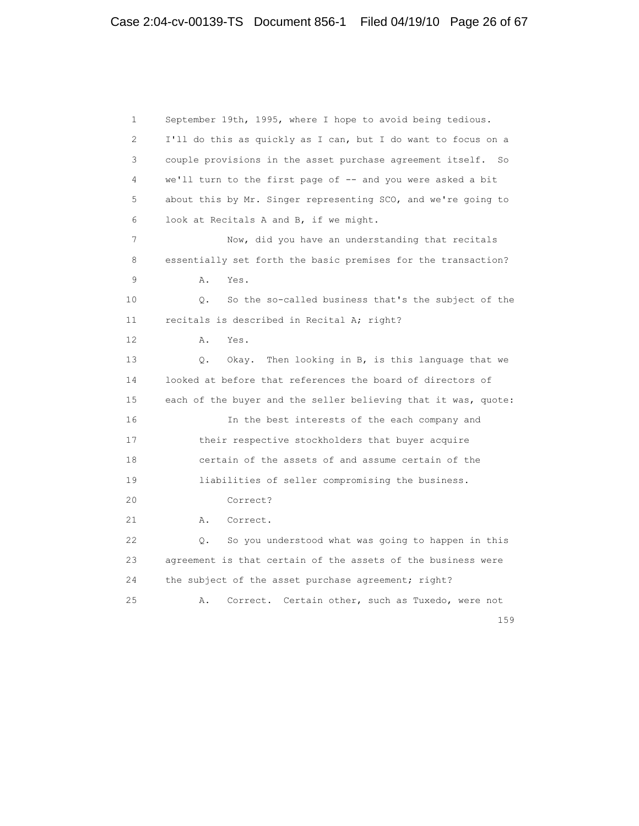1 September 19th, 1995, where I hope to avoid being tedious. 2 I'll do this as quickly as I can, but I do want to focus on a 3 couple provisions in the asset purchase agreement itself. So 4 we'll turn to the first page of -- and you were asked a bit 5 about this by Mr. Singer representing SCO, and we're going to 6 look at Recitals A and B, if we might. 7 Now, did you have an understanding that recitals 8 essentially set forth the basic premises for the transaction? 9 A. Yes. 10 Q. So the so-called business that's the subject of the 11 recitals is described in Recital A; right? 12 A. Yes. 13 Q. Okay. Then looking in B, is this language that we 14 looked at before that references the board of directors of 15 each of the buyer and the seller believing that it was, quote: 16 In the best interests of the each company and 17 their respective stockholders that buyer acquire 18 certain of the assets of and assume certain of the 19 liabilities of seller compromising the business. 20 Correct? 21 A. Correct. 22 Q. So you understood what was going to happen in this 23 agreement is that certain of the assets of the business were 24 the subject of the asset purchase agreement; right? 25 A. Correct. Certain other, such as Tuxedo, were not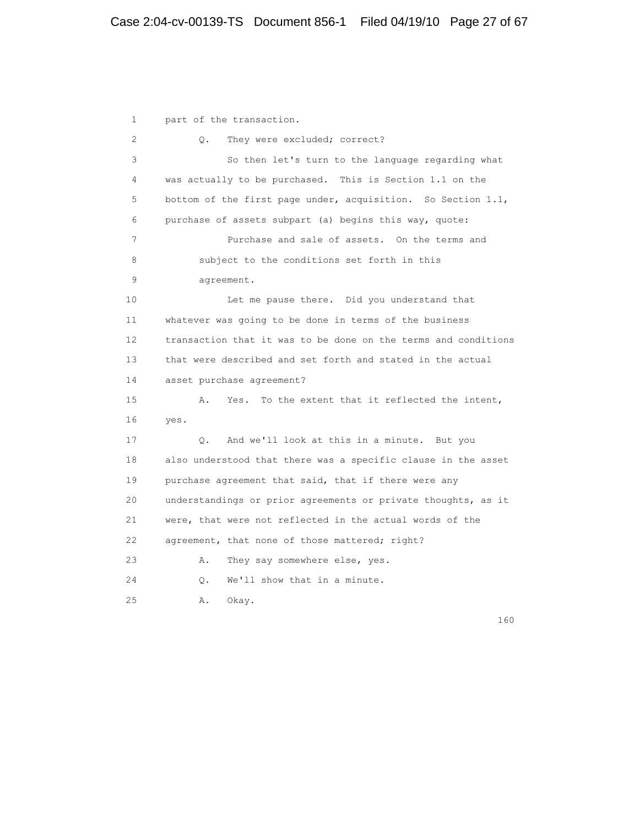1 part of the transaction. 2 Q. They were excluded; correct? 3 So then let's turn to the language regarding what 4 was actually to be purchased. This is Section 1.1 on the 5 bottom of the first page under, acquisition. So Section 1.1, 6 purchase of assets subpart (a) begins this way, quote: 7 Purchase and sale of assets. On the terms and 8 subject to the conditions set forth in this 9 agreement. 10 Let me pause there. Did you understand that 11 whatever was going to be done in terms of the business 12 transaction that it was to be done on the terms and conditions 13 that were described and set forth and stated in the actual 14 asset purchase agreement? 15 A. Yes. To the extent that it reflected the intent, 16 yes. 17 Q. And we'll look at this in a minute. But you 18 also understood that there was a specific clause in the asset 19 purchase agreement that said, that if there were any 20 understandings or prior agreements or private thoughts, as it 21 were, that were not reflected in the actual words of the 22 agreement, that none of those mattered; right? 23 A. They say somewhere else, yes. 24 Q. We'll show that in a minute. 25 A. Okay.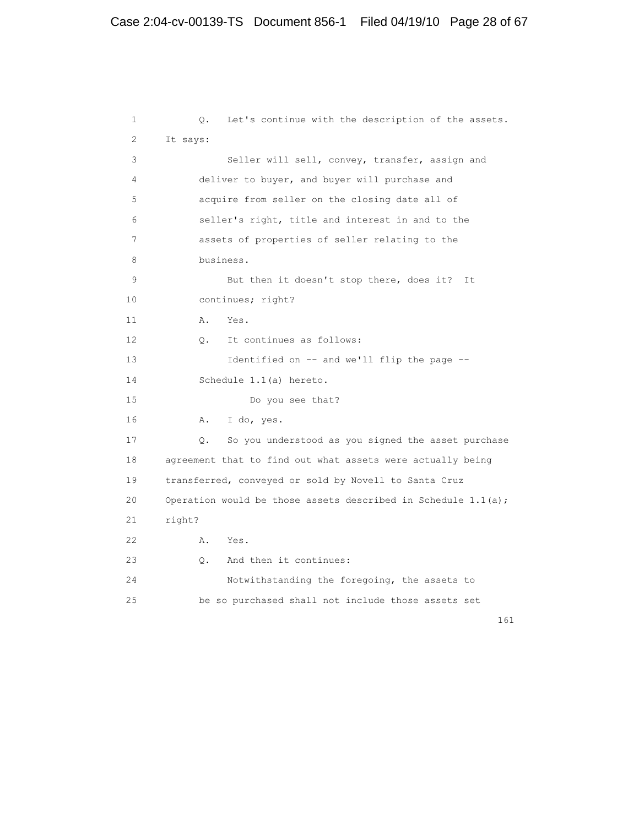```
 1 Q. Let's continue with the description of the assets.
 2 It says:
 3 Seller will sell, convey, transfer, assign and
 4 deliver to buyer, and buyer will purchase and
 5 acquire from seller on the closing date all of
 6 seller's right, title and interest in and to the
 7 assets of properties of seller relating to the
 8 business.
 9 But then it doesn't stop there, does it? It
 10 continues; right?
11 A. Yes.
 12 Q. It continues as follows:
 13 Identified on -- and we'll flip the page --
 14 Schedule 1.1(a) hereto.
 15 Do you see that?
 16 A. I do, yes.
 17 Q. So you understood as you signed the asset purchase
 18 agreement that to find out what assets were actually being
 19 transferred, conveyed or sold by Novell to Santa Cruz
20 Operation would be those assets described in Schedule 1.1(a);
 21 right?
 22 A. Yes.
 23 Q. And then it continues:
 24 Notwithstanding the foregoing, the assets to
 25 be so purchased shall not include those assets set
```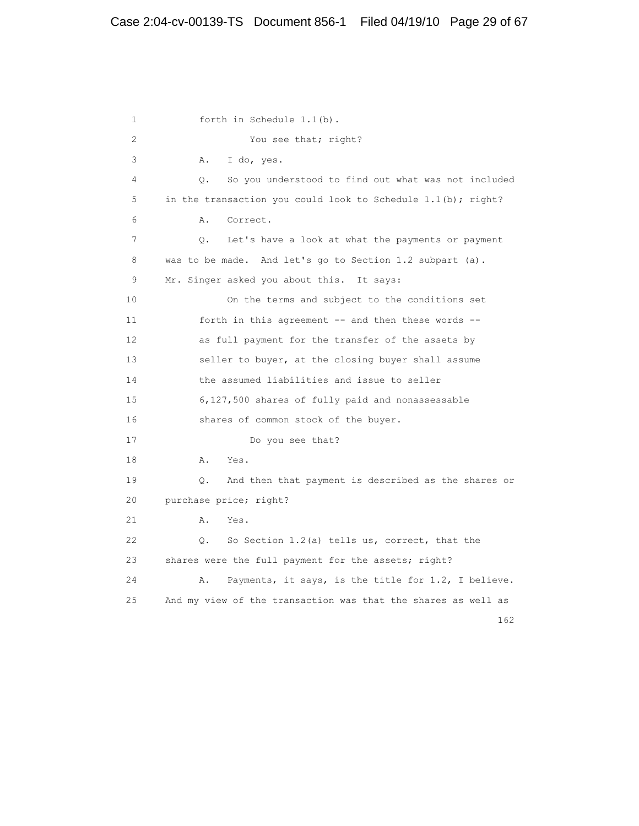1 forth in Schedule 1.1(b). 2 You see that; right? 3 A. I do, yes. 4 Q. So you understood to find out what was not included 5 in the transaction you could look to Schedule 1.1(b); right? 6 A. Correct. 7 Q. Let's have a look at what the payments or payment 8 was to be made. And let's go to Section 1.2 subpart (a). 9 Mr. Singer asked you about this. It says: 10 On the terms and subject to the conditions set 11 forth in this agreement -- and then these words -- 12 as full payment for the transfer of the assets by 13 seller to buyer, at the closing buyer shall assume 14 the assumed liabilities and issue to seller 15 6,127,500 shares of fully paid and nonassessable 16 shares of common stock of the buyer. 17 Do you see that? 18 A. Yes. 19 Q. And then that payment is described as the shares or 20 purchase price; right? 21 A. Yes. 22 Q. So Section 1.2(a) tells us, correct, that the 23 shares were the full payment for the assets; right? 24 A. Payments, it says, is the title for 1.2, I believe. 25 And my view of the transaction was that the shares as well as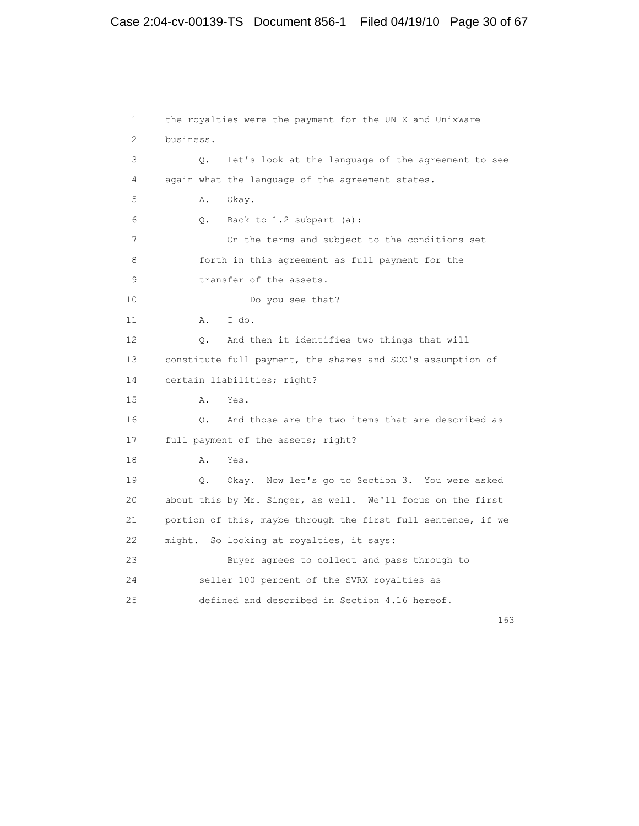# Case 2:04-cv-00139-TS Document 856-1 Filed 04/19/10 Page 30 of 67

 1 the royalties were the payment for the UNIX and UnixWare 2 business. 3 Q. Let's look at the language of the agreement to see 4 again what the language of the agreement states. 5 A. Okay. 6 Q. Back to 1.2 subpart (a): 7 On the terms and subject to the conditions set 8 forth in this agreement as full payment for the 9 transfer of the assets. 10 Do you see that? 11 A. I do. 12 Q. And then it identifies two things that will 13 constitute full payment, the shares and SCO's assumption of 14 certain liabilities; right? 15 A. Yes. 16 Q. And those are the two items that are described as 17 full payment of the assets; right? 18 A. Yes. 19 Q. Okay. Now let's go to Section 3. You were asked 20 about this by Mr. Singer, as well. We'll focus on the first 21 portion of this, maybe through the first full sentence, if we 22 might. So looking at royalties, it says: 23 Buyer agrees to collect and pass through to 24 seller 100 percent of the SVRX royalties as 25 defined and described in Section 4.16 hereof.

163 and 163 and 163 and 163 and 163 and 163 and 163 and 163 and 163 and 163 and 163 and 163 and 163 and 163 and 163 and 163 and 163 and 163 and 163 and 163 and 163 and 163 and 163 and 163 and 163 and 163 and 163 and 163 an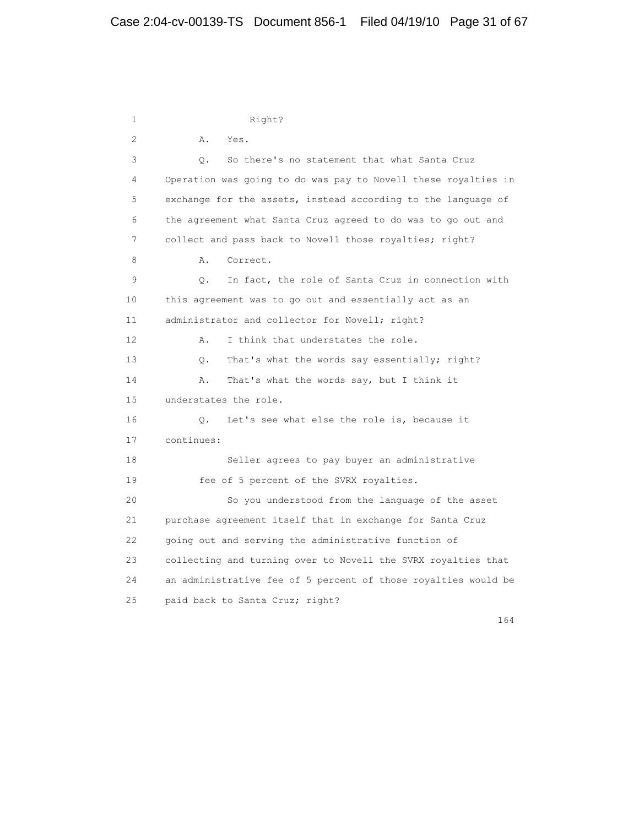1 Right? 2 A. Yes. 3 Q. So there's no statement that what Santa Cruz 4 Operation was going to do was pay to Novell these royalties in 5 exchange for the assets, instead according to the language of 6 the agreement what Santa Cruz agreed to do was to go out and 7 collect and pass back to Novell those royalties; right? 8 A. Correct. 9 Q. In fact, the role of Santa Cruz in connection with 10 this agreement was to go out and essentially act as an 11 administrator and collector for Novell; right? 12 A. I think that understates the role. 13 Q. That's what the words say essentially; right? 14 A. That's what the words say, but I think it 15 understates the role. 16 Q. Let's see what else the role is, because it 17 continues: 18 Seller agrees to pay buyer an administrative 19 fee of 5 percent of the SVRX royalties. 20 So you understood from the language of the asset 21 purchase agreement itself that in exchange for Santa Cruz 22 going out and serving the administrative function of 23 collecting and turning over to Novell the SVRX royalties that 24 an administrative fee of 5 percent of those royalties would be 25 paid back to Santa Cruz; right?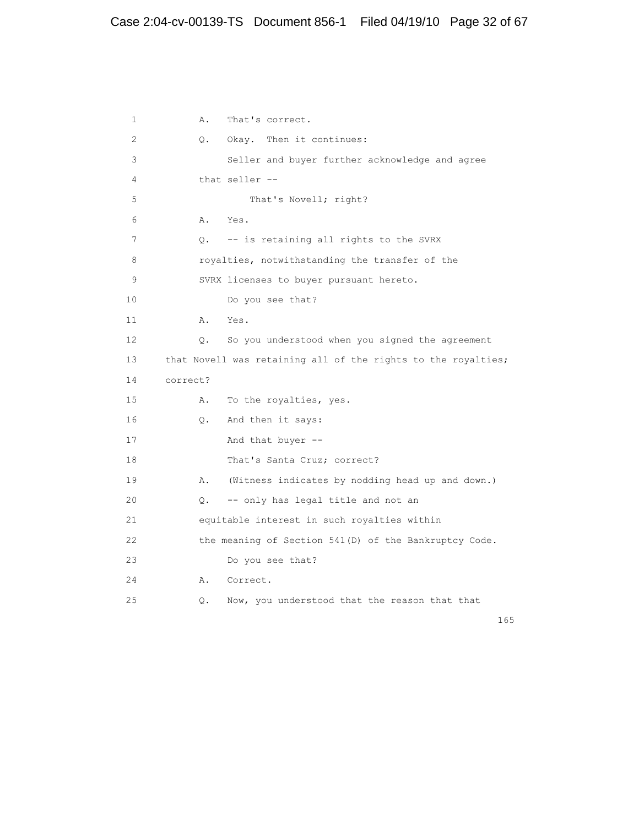1 A. That's correct. 2 Q. Okay. Then it continues: 3 Seller and buyer further acknowledge and agree 4 that seller -- 5 That's Novell; right? 6 A. Yes. 7 Q. -- is retaining all rights to the SVRX 8 **8** royalties, notwithstanding the transfer of the 9 SVRX licenses to buyer pursuant hereto. 10 Do you see that? 11 A. Yes. 12 Q. So you understood when you signed the agreement 13 that Novell was retaining all of the rights to the royalties; 14 correct? 15 A. To the royalties, yes. 16 Q. And then it says: 17 And that buyer --18 That's Santa Cruz; correct? 19 A. (Witness indicates by nodding head up and down.) 20 Q. -- only has legal title and not an 21 equitable interest in such royalties within 22 the meaning of Section 541(D) of the Bankruptcy Code. 23 Do you see that? 24 A. Correct. 25 Q. Now, you understood that the reason that that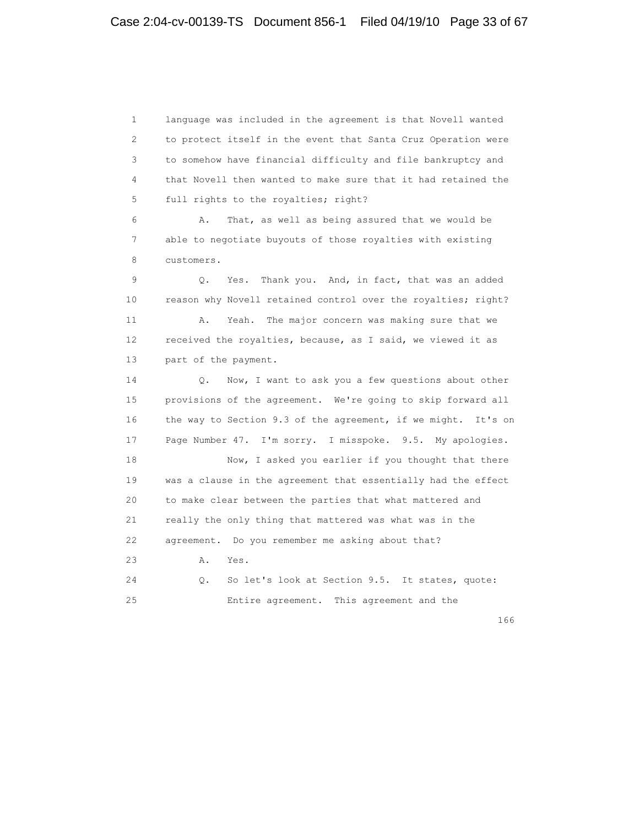1 language was included in the agreement is that Novell wanted 2 to protect itself in the event that Santa Cruz Operation were 3 to somehow have financial difficulty and file bankruptcy and 4 that Novell then wanted to make sure that it had retained the 5 full rights to the royalties; right? 6 A. That, as well as being assured that we would be 7 able to negotiate buyouts of those royalties with existing 8 customers. 9 Q. Yes. Thank you. And, in fact, that was an added 10 reason why Novell retained control over the royalties; right? 11 A. Yeah. The major concern was making sure that we 12 received the royalties, because, as I said, we viewed it as 13 part of the payment. 14 Q. Now, I want to ask you a few questions about other 15 provisions of the agreement. We're going to skip forward all 16 the way to Section 9.3 of the agreement, if we might. It's on 17 Page Number 47. I'm sorry. I misspoke. 9.5. My apologies. 18 Now, I asked you earlier if you thought that there 19 was a clause in the agreement that essentially had the effect 20 to make clear between the parties that what mattered and 21 really the only thing that mattered was what was in the 22 agreement. Do you remember me asking about that? 23 A. Yes. 24 Q. So let's look at Section 9.5. It states, quote: 25 Entire agreement. This agreement and the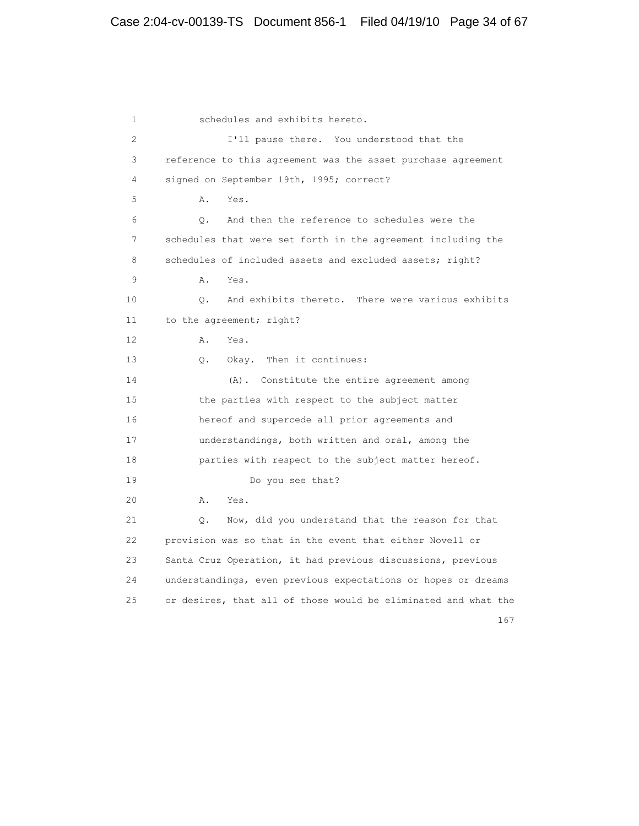1 schedules and exhibits hereto. 2 I'll pause there. You understood that the 3 reference to this agreement was the asset purchase agreement 4 signed on September 19th, 1995; correct? 5 A. Yes. 6 Q. And then the reference to schedules were the 7 schedules that were set forth in the agreement including the 8 schedules of included assets and excluded assets; right? 9 A. Yes. 10 Q. And exhibits thereto. There were various exhibits 11 to the agreement; right? 12 A. Yes. 13 Q. Okay. Then it continues: 14 (A). Constitute the entire agreement among 15 the parties with respect to the subject matter 16 hereof and supercede all prior agreements and 17 understandings, both written and oral, among the 18 parties with respect to the subject matter hereof. 19 Do you see that? 20 A. Yes. 21 Q. Now, did you understand that the reason for that 22 provision was so that in the event that either Novell or 23 Santa Cruz Operation, it had previous discussions, previous 24 understandings, even previous expectations or hopes or dreams 25 or desires, that all of those would be eliminated and what the 167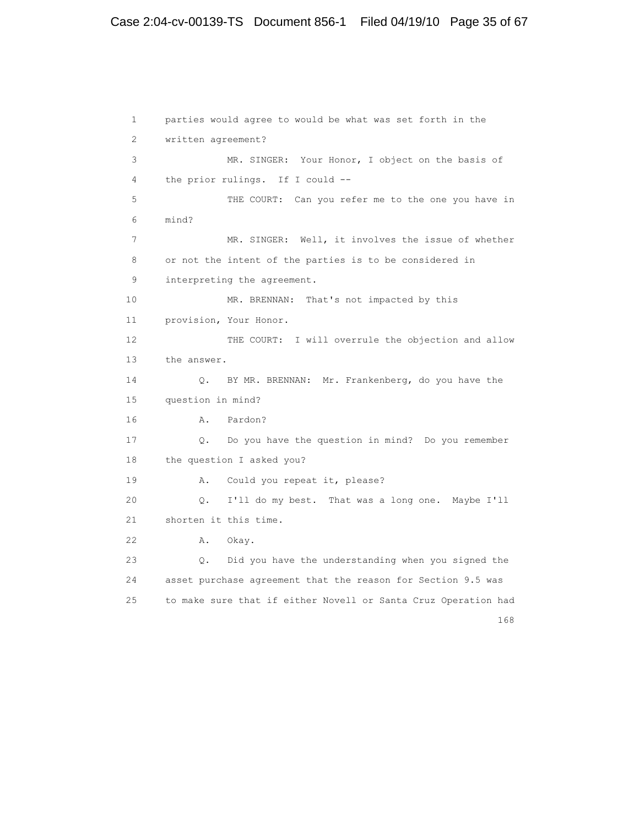# Case 2:04-cv-00139-TS Document 856-1 Filed 04/19/10 Page 35 of 67

```
 1 parties would agree to would be what was set forth in the
        2 written agreement?
        3 MR. SINGER: Your Honor, I object on the basis of
        4 the prior rulings. If I could --
        5 THE COURT: Can you refer me to the one you have in
        6 mind?
        7 MR. SINGER: Well, it involves the issue of whether
        8 or not the intent of the parties is to be considered in
        9 interpreting the agreement.
      10 MR. BRENNAN: That's not impacted by this
       11 provision, Your Honor.
      12 THE COURT: I will overrule the objection and allow
       13 the answer.
       14 Q. BY MR. BRENNAN: Mr. Frankenberg, do you have the
       15 question in mind?
       16 A. Pardon?
       17 Q. Do you have the question in mind? Do you remember
       18 the question I asked you?
       19 A. Could you repeat it, please?
       20 Q. I'll do my best. That was a long one. Maybe I'll
       21 shorten it this time.
       22 A. Okay.
       23 Q. Did you have the understanding when you signed the
       24 asset purchase agreement that the reason for Section 9.5 was
       25 to make sure that if either Novell or Santa Cruz Operation had
 168
```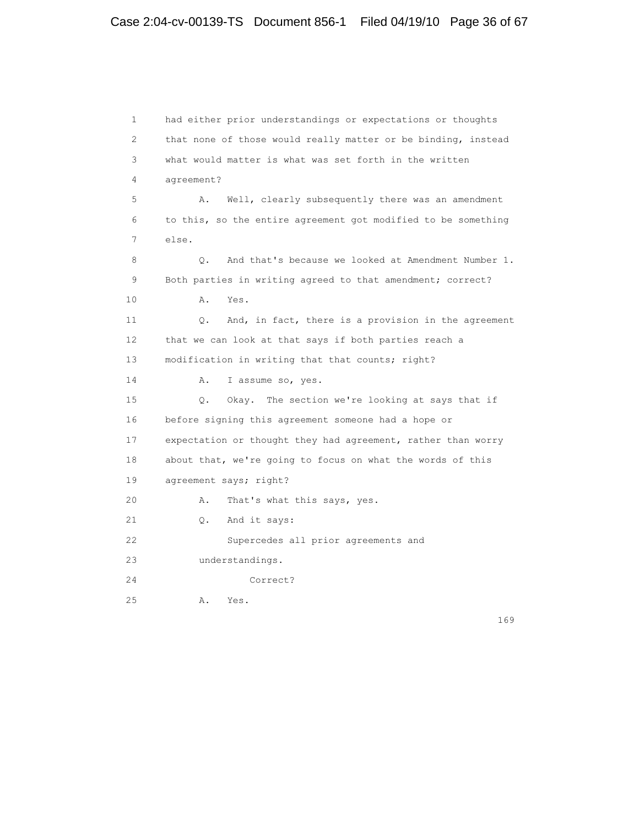1 had either prior understandings or expectations or thoughts 2 that none of those would really matter or be binding, instead 3 what would matter is what was set forth in the written 4 agreement? 5 A. Well, clearly subsequently there was an amendment 6 to this, so the entire agreement got modified to be something 7 else. 8 Q. And that's because we looked at Amendment Number 1. 9 Both parties in writing agreed to that amendment; correct? 10 A. Yes. 11 Q. And, in fact, there is a provision in the agreement 12 that we can look at that says if both parties reach a 13 modification in writing that that counts; right? 14 A. I assume so, yes. 15 Q. Okay. The section we're looking at says that if 16 before signing this agreement someone had a hope or 17 expectation or thought they had agreement, rather than worry 18 about that, we're going to focus on what the words of this 19 agreement says; right? 20 A. That's what this says, yes. 21 Q. And it says: 22 Supercedes all prior agreements and 23 understandings. 24 Correct? 25 A. Yes.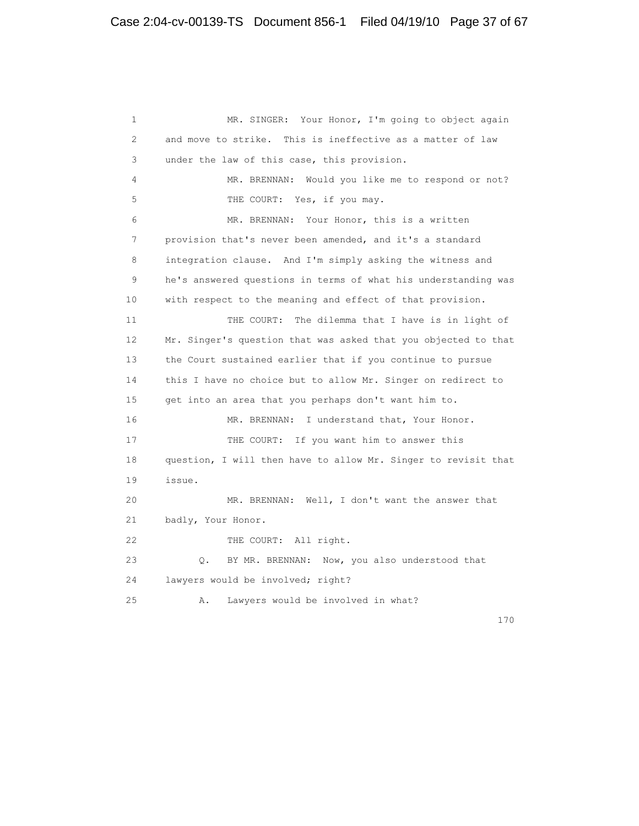1 MR. SINGER: Your Honor, I'm going to object again 2 and move to strike. This is ineffective as a matter of law 3 under the law of this case, this provision. 4 MR. BRENNAN: Would you like me to respond or not? 5 THE COURT: Yes, if you may. 6 MR. BRENNAN: Your Honor, this is a written 7 provision that's never been amended, and it's a standard 8 integration clause. And I'm simply asking the witness and 9 he's answered questions in terms of what his understanding was 10 with respect to the meaning and effect of that provision. 11 THE COURT: The dilemma that I have is in light of 12 Mr. Singer's question that was asked that you objected to that 13 the Court sustained earlier that if you continue to pursue 14 this I have no choice but to allow Mr. Singer on redirect to 15 get into an area that you perhaps don't want him to. 16 MR. BRENNAN: I understand that, Your Honor. 17 THE COURT: If you want him to answer this 18 question, I will then have to allow Mr. Singer to revisit that 19 issue. 20 MR. BRENNAN: Well, I don't want the answer that 21 badly, Your Honor. 22 THE COURT: All right. 23 Q. BY MR. BRENNAN: Now, you also understood that 24 lawyers would be involved; right? 25 A. Lawyers would be involved in what?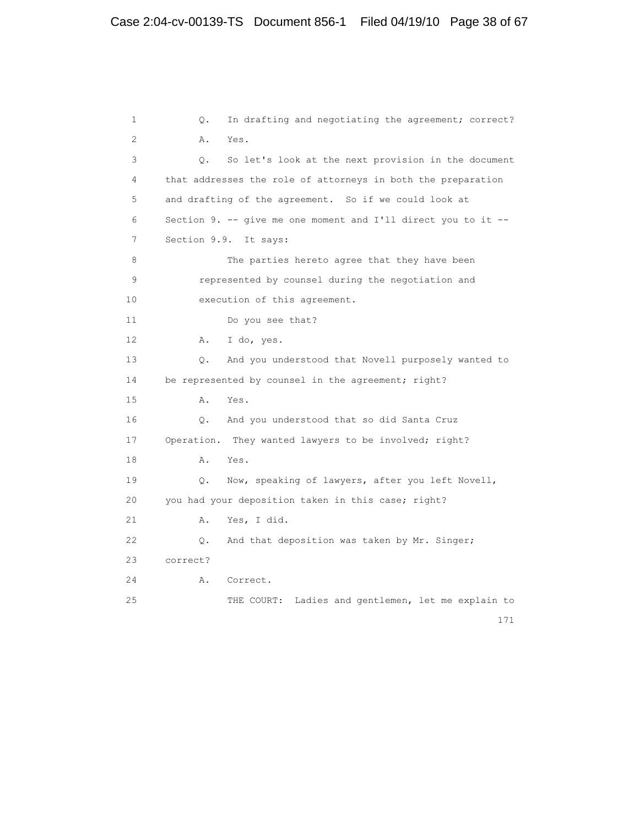1 Q. In drafting and negotiating the agreement; correct? 2 A. Yes. 3 Q. So let's look at the next provision in the document 4 that addresses the role of attorneys in both the preparation 5 and drafting of the agreement. So if we could look at 6 Section 9. -- give me one moment and I'll direct you to it -- 7 Section 9.9. It says: 8 The parties hereto agree that they have been 9 represented by counsel during the negotiation and 10 execution of this agreement. 11 Do you see that? 12 A. I do, yes. 13 Q. And you understood that Novell purposely wanted to 14 be represented by counsel in the agreement; right? 15 A. Yes. 16 Q. And you understood that so did Santa Cruz 17 Operation. They wanted lawyers to be involved; right? 18 A. Yes. 19 Q. Now, speaking of lawyers, after you left Novell, 20 you had your deposition taken in this case; right? 21 A. Yes, I did. 22 Q. And that deposition was taken by Mr. Singer; 23 correct? 24 A. Correct. 25 THE COURT: Ladies and gentlemen, let me explain to 171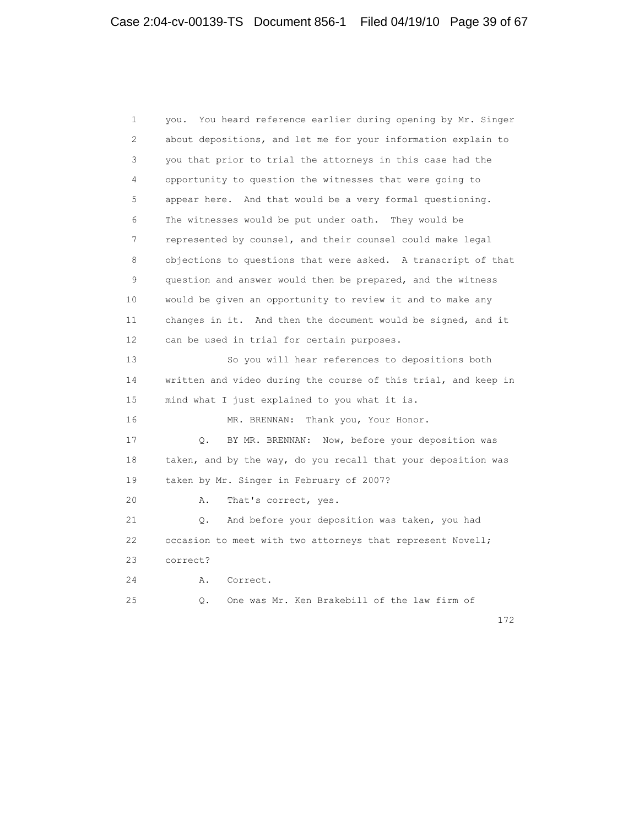1 you. You heard reference earlier during opening by Mr. Singer 2 about depositions, and let me for your information explain to 3 you that prior to trial the attorneys in this case had the 4 opportunity to question the witnesses that were going to 5 appear here. And that would be a very formal questioning. 6 The witnesses would be put under oath. They would be 7 represented by counsel, and their counsel could make legal 8 objections to questions that were asked. A transcript of that 9 question and answer would then be prepared, and the witness 10 would be given an opportunity to review it and to make any 11 changes in it. And then the document would be signed, and it 12 can be used in trial for certain purposes. 13 So you will hear references to depositions both 14 written and video during the course of this trial, and keep in 15 mind what I just explained to you what it is. 16 MR. BRENNAN: Thank you, Your Honor. 17 Q. BY MR. BRENNAN: Now, before your deposition was 18 taken, and by the way, do you recall that your deposition was 19 taken by Mr. Singer in February of 2007? 20 A. That's correct, yes. 21 Q. And before your deposition was taken, you had 22 occasion to meet with two attorneys that represent Novell; 23 correct? 24 A. Correct. 25 Q. One was Mr. Ken Brakebill of the law firm of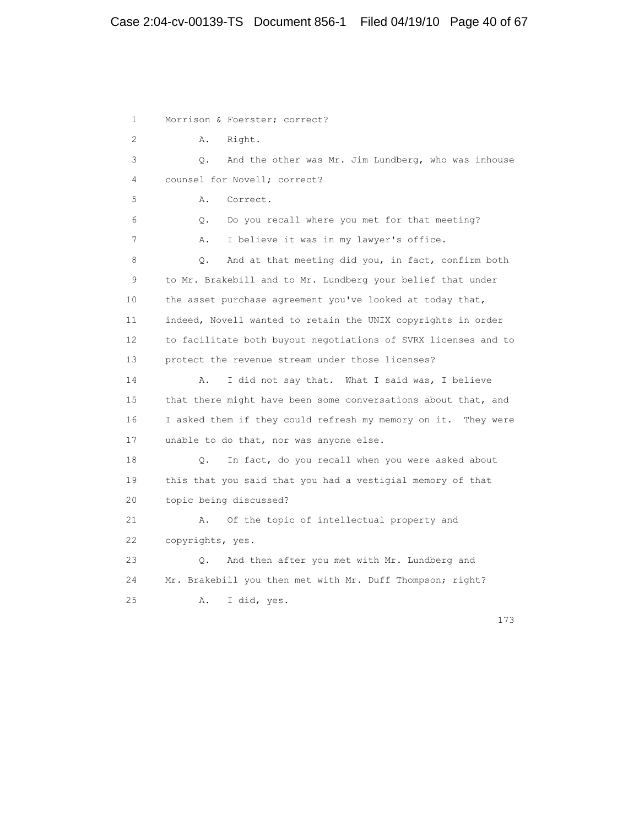# Case 2:04-cv-00139-TS Document 856-1 Filed 04/19/10 Page 40 of 67

1 Morrison & Foerster; correct? 2 A. Right. 3 Q. And the other was Mr. Jim Lundberg, who was inhouse 4 counsel for Novell; correct? 5 A. Correct. 6 Q. Do you recall where you met for that meeting? 7 A. I believe it was in my lawyer's office. 8 Q. And at that meeting did you, in fact, confirm both 9 to Mr. Brakebill and to Mr. Lundberg your belief that under 10 the asset purchase agreement you've looked at today that, 11 indeed, Novell wanted to retain the UNIX copyrights in order 12 to facilitate both buyout negotiations of SVRX licenses and to 13 protect the revenue stream under those licenses? 14 A. I did not say that. What I said was, I believe 15 that there might have been some conversations about that, and 16 I asked them if they could refresh my memory on it. They were 17 unable to do that, nor was anyone else. 18 Q. In fact, do you recall when you were asked about 19 this that you said that you had a vestigial memory of that 20 topic being discussed? 21 A. Of the topic of intellectual property and 22 copyrights, yes. 23 Q. And then after you met with Mr. Lundberg and 24 Mr. Brakebill you then met with Mr. Duff Thompson; right? 25 A. I did, yes.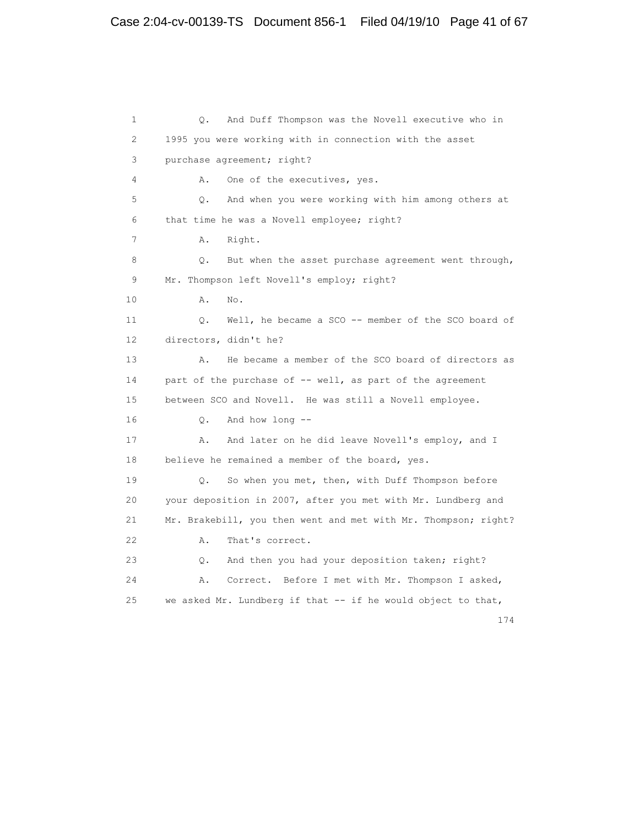1 Q. And Duff Thompson was the Novell executive who in 2 1995 you were working with in connection with the asset 3 purchase agreement; right? 4 A. One of the executives, yes. 5 Q. And when you were working with him among others at 6 that time he was a Novell employee; right? 7 A. Right. 8 Q. But when the asset purchase agreement went through, 9 Mr. Thompson left Novell's employ; right? 10 A. No. 11 Q. Well, he became a SCO -- member of the SCO board of 12 directors, didn't he? 13 A. He became a member of the SCO board of directors as 14 part of the purchase of -- well, as part of the agreement 15 between SCO and Novell. He was still a Novell employee. 16 Q. And how long -- 17 A. And later on he did leave Novell's employ, and I 18 believe he remained a member of the board, yes. 19 Q. So when you met, then, with Duff Thompson before 20 your deposition in 2007, after you met with Mr. Lundberg and 21 Mr. Brakebill, you then went and met with Mr. Thompson; right? 22 A. That's correct. 23 Q. And then you had your deposition taken; right? 24 A. Correct. Before I met with Mr. Thompson I asked, 25 we asked Mr. Lundberg if that -- if he would object to that,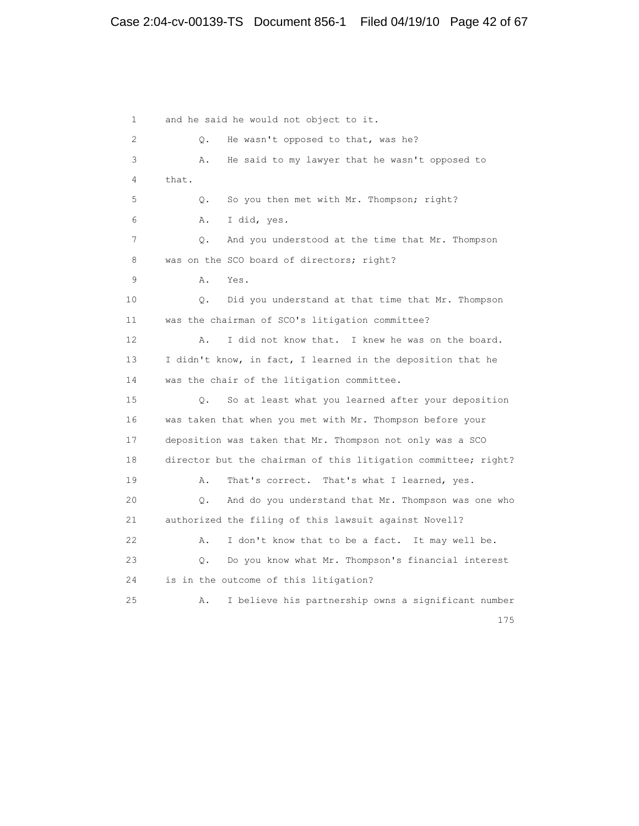# Case 2:04-cv-00139-TS Document 856-1 Filed 04/19/10 Page 42 of 67

 1 and he said he would not object to it. 2 Q. He wasn't opposed to that, was he? 3 A. He said to my lawyer that he wasn't opposed to 4 that. 5 Q. So you then met with Mr. Thompson; right? 6 A. I did, yes. 7 Q. And you understood at the time that Mr. Thompson 8 was on the SCO board of directors; right? 9 A. Yes. 10 Q. Did you understand at that time that Mr. Thompson 11 was the chairman of SCO's litigation committee? 12 A. I did not know that. I knew he was on the board. 13 I didn't know, in fact, I learned in the deposition that he 14 was the chair of the litigation committee. 15 Q. So at least what you learned after your deposition 16 was taken that when you met with Mr. Thompson before your 17 deposition was taken that Mr. Thompson not only was a SCO 18 director but the chairman of this litigation committee; right? 19 A. That's correct. That's what I learned, yes. 20 Q. And do you understand that Mr. Thompson was one who 21 authorized the filing of this lawsuit against Novell? 22 A. I don't know that to be a fact. It may well be. 23 Q. Do you know what Mr. Thompson's financial interest 24 is in the outcome of this litigation? 25 A. I believe his partnership owns a significant number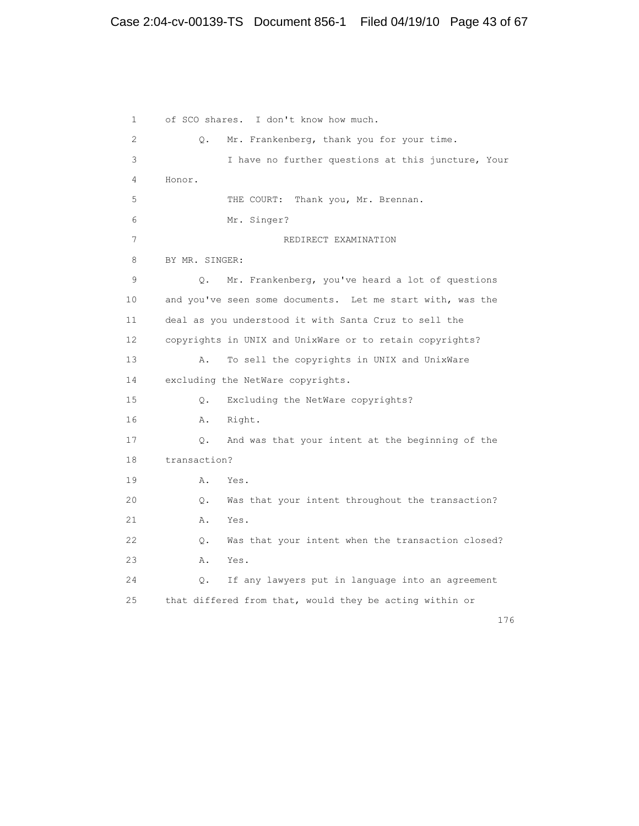# Case 2:04-cv-00139-TS Document 856-1 Filed 04/19/10 Page 43 of 67

 1 of SCO shares. I don't know how much. 2 Q. Mr. Frankenberg, thank you for your time. 3 I have no further questions at this juncture, Your 4 Honor. 5 THE COURT: Thank you, Mr. Brennan. 6 Mr. Singer? 7 REDIRECT EXAMINATION 8 BY MR. SINGER: 9 Q. Mr. Frankenberg, you've heard a lot of questions 10 and you've seen some documents. Let me start with, was the 11 deal as you understood it with Santa Cruz to sell the 12 copyrights in UNIX and UnixWare or to retain copyrights? 13 A. To sell the copyrights in UNIX and UnixWare 14 excluding the NetWare copyrights. 15 Q. Excluding the NetWare copyrights? 16 A. Right. 17 Q. And was that your intent at the beginning of the 18 transaction? 19 A. Yes. 20 Q. Was that your intent throughout the transaction? 21 A. Yes. 22 Q. Was that your intent when the transaction closed? 23 A. Yes. 24 Q. If any lawyers put in language into an agreement 25 that differed from that, would they be acting within or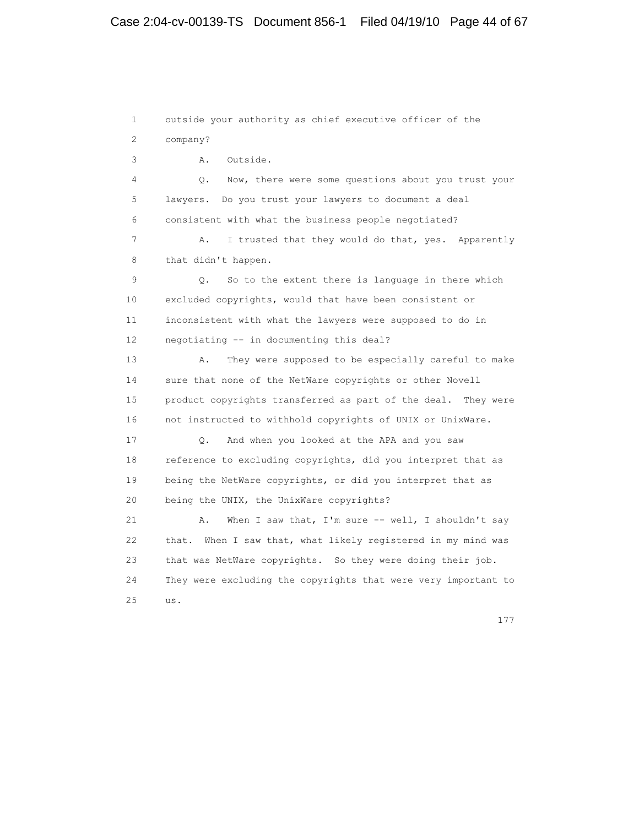1 outside your authority as chief executive officer of the 2 company? 3 A. Outside. 4 Q. Now, there were some questions about you trust your 5 lawyers. Do you trust your lawyers to document a deal 6 consistent with what the business people negotiated? 7 A. I trusted that they would do that, yes. Apparently 8 that didn't happen. 9 Q. So to the extent there is language in there which 10 excluded copyrights, would that have been consistent or 11 inconsistent with what the lawyers were supposed to do in 12 negotiating -- in documenting this deal? 13 A. They were supposed to be especially careful to make 14 sure that none of the NetWare copyrights or other Novell 15 product copyrights transferred as part of the deal. They were 16 not instructed to withhold copyrights of UNIX or UnixWare. 17 Q. And when you looked at the APA and you saw 18 reference to excluding copyrights, did you interpret that as 19 being the NetWare copyrights, or did you interpret that as 20 being the UNIX, the UnixWare copyrights? 21 A. When I saw that, I'm sure -- well, I shouldn't say 22 that. When I saw that, what likely registered in my mind was 23 that was NetWare copyrights. So they were doing their job. 24 They were excluding the copyrights that were very important to 25 us.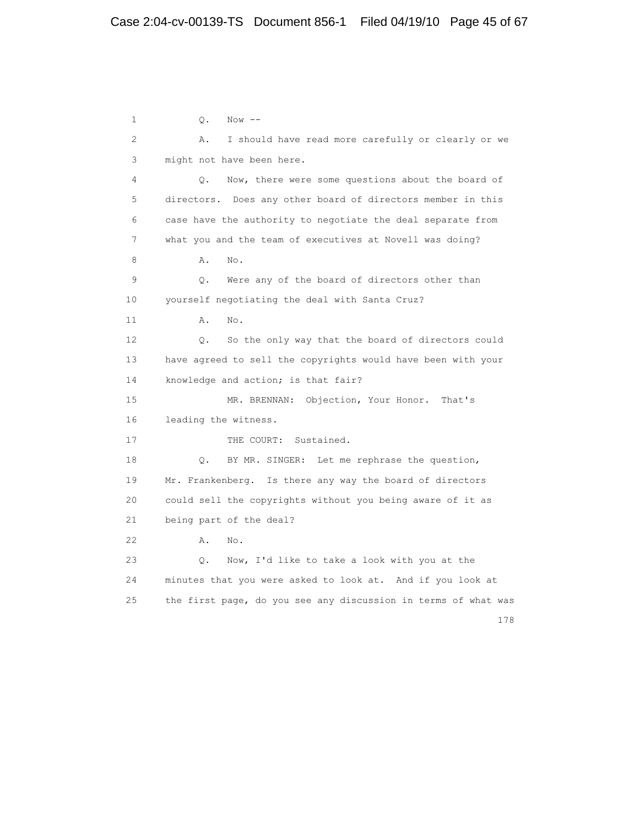1 Q. Now -- 2 A. I should have read more carefully or clearly or we 3 might not have been here. 4 Q. Now, there were some questions about the board of 5 directors. Does any other board of directors member in this 6 case have the authority to negotiate the deal separate from 7 what you and the team of executives at Novell was doing? 8 **A.** No. 9 Q. Were any of the board of directors other than 10 yourself negotiating the deal with Santa Cruz? 11 A. No. 12 Q. So the only way that the board of directors could 13 have agreed to sell the copyrights would have been with your 14 knowledge and action; is that fair? 15 MR. BRENNAN: Objection, Your Honor. That's 16 leading the witness. 17 THE COURT: Sustained. 18 Q. BY MR. SINGER: Let me rephrase the question, 19 Mr. Frankenberg. Is there any way the board of directors 20 could sell the copyrights without you being aware of it as 21 being part of the deal? 22 A. No. 23 Q. Now, I'd like to take a look with you at the 24 minutes that you were asked to look at. And if you look at 25 the first page, do you see any discussion in terms of what was 178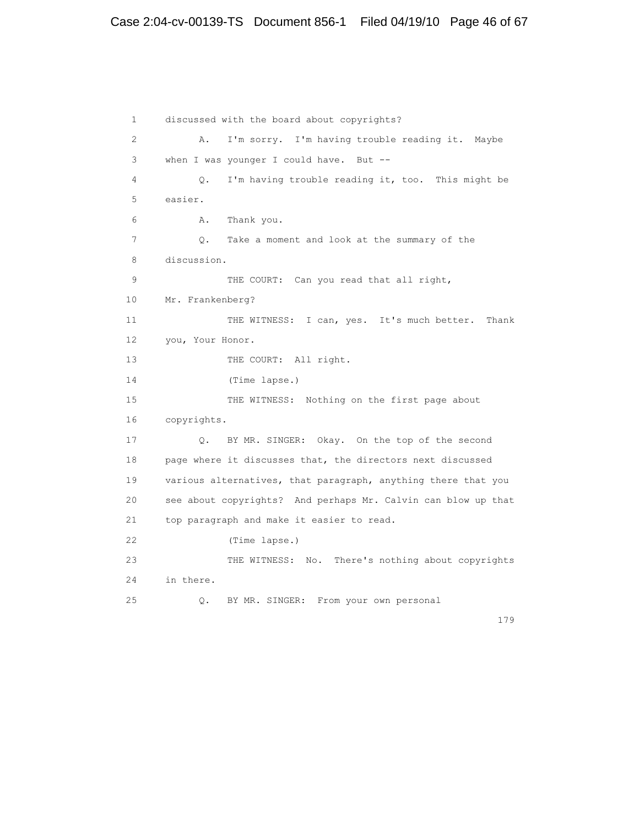# Case 2:04-cv-00139-TS Document 856-1 Filed 04/19/10 Page 46 of 67

 1 discussed with the board about copyrights? 2 A. I'm sorry. I'm having trouble reading it. Maybe 3 when I was younger I could have. But -- 4 Q. I'm having trouble reading it, too. This might be 5 easier. 6 A. Thank you. 7 Q. Take a moment and look at the summary of the 8 discussion. 9 THE COURT: Can you read that all right, 10 Mr. Frankenberg? 11 THE WITNESS: I can, yes. It's much better. Thank 12 you, Your Honor. 13 THE COURT: All right. 14 (Time lapse.) 15 THE WITNESS: Nothing on the first page about 16 copyrights. 17 Q. BY MR. SINGER: Okay. On the top of the second 18 page where it discusses that, the directors next discussed 19 various alternatives, that paragraph, anything there that you 20 see about copyrights? And perhaps Mr. Calvin can blow up that 21 top paragraph and make it easier to read. 22 (Time lapse.) 23 THE WITNESS: No. There's nothing about copyrights 24 in there. 25 Q. BY MR. SINGER: From your own personal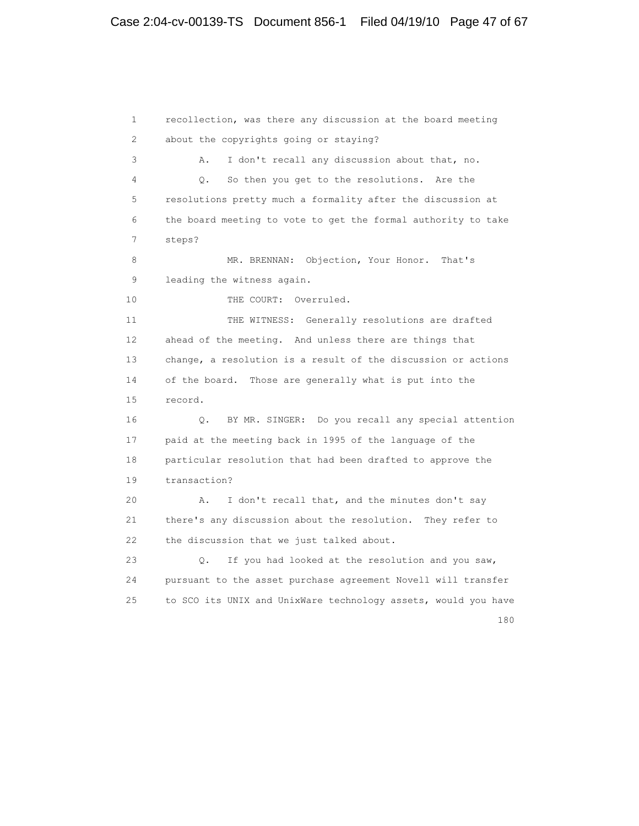1 recollection, was there any discussion at the board meeting 2 about the copyrights going or staying? 3 A. I don't recall any discussion about that, no. 4 Q. So then you get to the resolutions. Are the 5 resolutions pretty much a formality after the discussion at 6 the board meeting to vote to get the formal authority to take 7 steps? 8 MR. BRENNAN: Objection, Your Honor. That's 9 leading the witness again. 10 THE COURT: Overruled. 11 THE WITNESS: Generally resolutions are drafted 12 ahead of the meeting. And unless there are things that 13 change, a resolution is a result of the discussion or actions 14 of the board. Those are generally what is put into the 15 record. 16 Q. BY MR. SINGER: Do you recall any special attention 17 paid at the meeting back in 1995 of the language of the 18 particular resolution that had been drafted to approve the 19 transaction? 20 A. I don't recall that, and the minutes don't say 21 there's any discussion about the resolution. They refer to 22 the discussion that we just talked about. 23 Q. If you had looked at the resolution and you saw, 24 pursuant to the asset purchase agreement Novell will transfer 25 to SCO its UNIX and UnixWare technology assets, would you have 180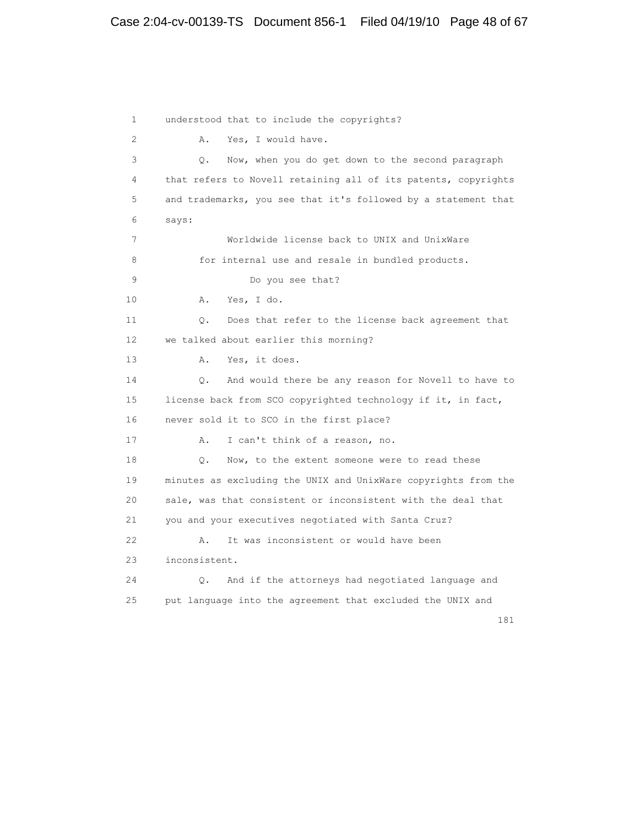1 understood that to include the copyrights? 2 A. Yes, I would have. 3 Q. Now, when you do get down to the second paragraph 4 that refers to Novell retaining all of its patents, copyrights 5 and trademarks, you see that it's followed by a statement that 6 says: 7 Worldwide license back to UNIX and UnixWare 8 for internal use and resale in bundled products. 9 Do you see that? 10 A. Yes, I do. 11 Q. Does that refer to the license back agreement that 12 we talked about earlier this morning? 13 A. Yes, it does. 14 Q. And would there be any reason for Novell to have to 15 license back from SCO copyrighted technology if it, in fact, 16 never sold it to SCO in the first place? 17 A. I can't think of a reason, no. 18 Q. Now, to the extent someone were to read these 19 minutes as excluding the UNIX and UnixWare copyrights from the 20 sale, was that consistent or inconsistent with the deal that 21 you and your executives negotiated with Santa Cruz? 22 A. It was inconsistent or would have been 23 inconsistent. 24 Q. And if the attorneys had negotiated language and 25 put language into the agreement that excluded the UNIX and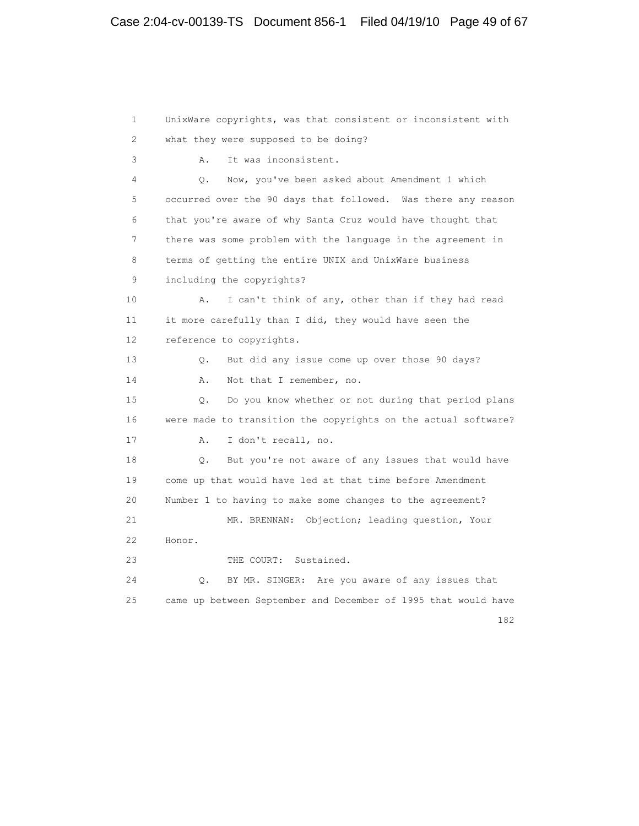1 UnixWare copyrights, was that consistent or inconsistent with 2 what they were supposed to be doing? 3 A. It was inconsistent. 4 Q. Now, you've been asked about Amendment 1 which 5 occurred over the 90 days that followed. Was there any reason 6 that you're aware of why Santa Cruz would have thought that 7 there was some problem with the language in the agreement in 8 terms of getting the entire UNIX and UnixWare business 9 including the copyrights? 10 A. I can't think of any, other than if they had read 11 it more carefully than I did, they would have seen the 12 reference to copyrights. 13 Q. But did any issue come up over those 90 days? 14 A. Not that I remember, no. 15 Q. Do you know whether or not during that period plans 16 were made to transition the copyrights on the actual software? 17 A. I don't recall, no. 18 Q. But you're not aware of any issues that would have 19 come up that would have led at that time before Amendment 20 Number 1 to having to make some changes to the agreement? 21 MR. BRENNAN: Objection; leading question, Your 22 Honor. 23 THE COURT: Sustained. 24 Q. BY MR. SINGER: Are you aware of any issues that 25 came up between September and December of 1995 that would have

182<sup>2</sup>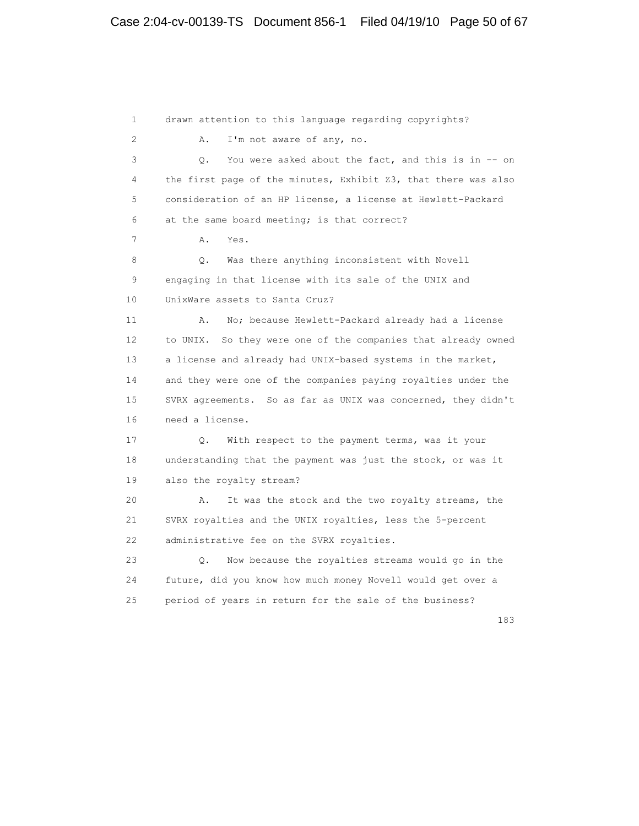1 drawn attention to this language regarding copyrights? 2 A. I'm not aware of any, no. 3 Q. You were asked about the fact, and this is in -- on 4 the first page of the minutes, Exhibit Z3, that there was also 5 consideration of an HP license, a license at Hewlett-Packard 6 at the same board meeting; is that correct? 7 A. Yes. 8 Q. Was there anything inconsistent with Novell 9 engaging in that license with its sale of the UNIX and 10 UnixWare assets to Santa Cruz? 11 A. No; because Hewlett-Packard already had a license 12 to UNIX. So they were one of the companies that already owned 13 a license and already had UNIX-based systems in the market, 14 and they were one of the companies paying royalties under the 15 SVRX agreements. So as far as UNIX was concerned, they didn't 16 need a license. 17 Q. With respect to the payment terms, was it your 18 understanding that the payment was just the stock, or was it 19 also the royalty stream? 20 A. It was the stock and the two royalty streams, the 21 SVRX royalties and the UNIX royalties, less the 5-percent 22 administrative fee on the SVRX royalties. 23 Q. Now because the royalties streams would go in the 24 future, did you know how much money Novell would get over a 25 period of years in return for the sale of the business?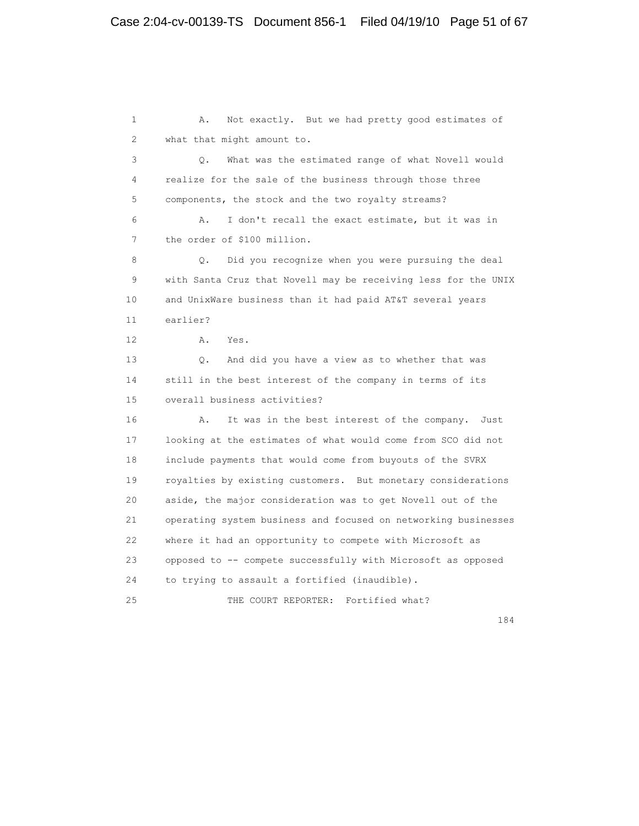1 A. Not exactly. But we had pretty good estimates of 2 what that might amount to. 3 Q. What was the estimated range of what Novell would 4 realize for the sale of the business through those three 5 components, the stock and the two royalty streams? 6 A. I don't recall the exact estimate, but it was in 7 the order of \$100 million. 8 Q. Did you recognize when you were pursuing the deal 9 with Santa Cruz that Novell may be receiving less for the UNIX 10 and UnixWare business than it had paid AT&T several years 11 earlier? 12 A. Yes. 13 Q. And did you have a view as to whether that was 14 still in the best interest of the company in terms of its 15 overall business activities? 16 A. It was in the best interest of the company. Just 17 looking at the estimates of what would come from SCO did not 18 include payments that would come from buyouts of the SVRX 19 royalties by existing customers. But monetary considerations 20 aside, the major consideration was to get Novell out of the 21 operating system business and focused on networking businesses 22 where it had an opportunity to compete with Microsoft as 23 opposed to -- compete successfully with Microsoft as opposed 24 to trying to assault a fortified (inaudible). 25 THE COURT REPORTER: Fortified what?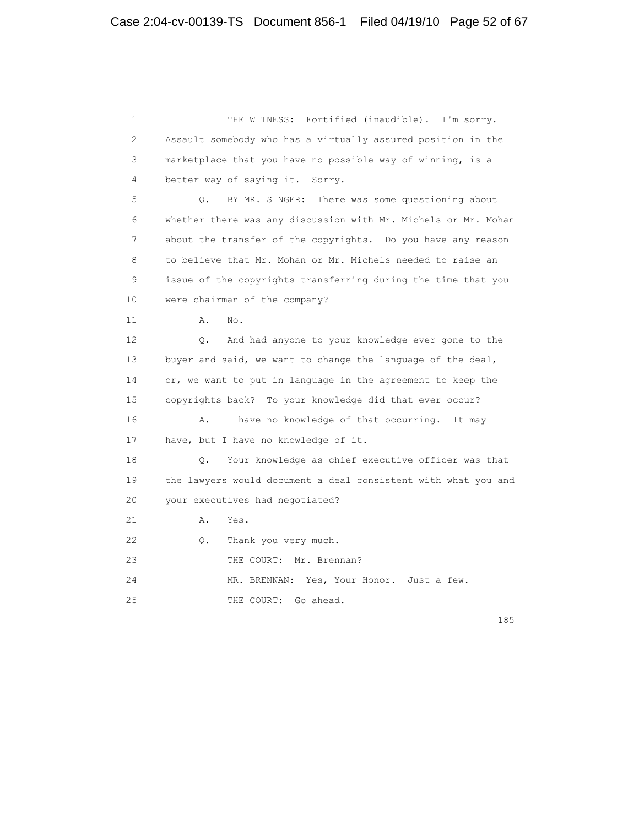1 THE WITNESS: Fortified (inaudible). I'm sorry. 2 Assault somebody who has a virtually assured position in the 3 marketplace that you have no possible way of winning, is a 4 better way of saying it. Sorry. 5 Q. BY MR. SINGER: There was some questioning about 6 whether there was any discussion with Mr. Michels or Mr. Mohan 7 about the transfer of the copyrights. Do you have any reason 8 to believe that Mr. Mohan or Mr. Michels needed to raise an 9 issue of the copyrights transferring during the time that you 10 were chairman of the company? 11 A. No. 12 Q. And had anyone to your knowledge ever gone to the 13 buyer and said, we want to change the language of the deal, 14 or, we want to put in language in the agreement to keep the 15 copyrights back? To your knowledge did that ever occur? 16 A. I have no knowledge of that occurring. It may 17 have, but I have no knowledge of it. 18 Q. Your knowledge as chief executive officer was that 19 the lawyers would document a deal consistent with what you and 20 your executives had negotiated? 21 A. Yes. 22 Q. Thank you very much. 23 THE COURT: Mr. Brennan? 24 MR. BRENNAN: Yes, Your Honor. Just a few. 25 THE COURT: Go ahead.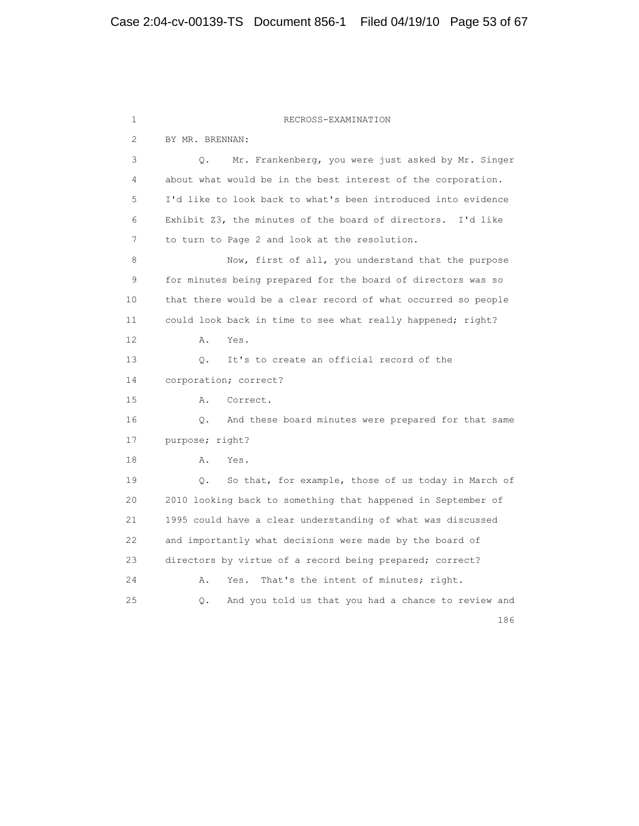1 RECROSS-EXAMINATION 2 BY MR. BRENNAN: 3 Q. Mr. Frankenberg, you were just asked by Mr. Singer 4 about what would be in the best interest of the corporation. 5 I'd like to look back to what's been introduced into evidence 6 Exhibit Z3, the minutes of the board of directors. I'd like 7 to turn to Page 2 and look at the resolution. 8 Now, first of all, you understand that the purpose 9 for minutes being prepared for the board of directors was so 10 that there would be a clear record of what occurred so people 11 could look back in time to see what really happened; right? 12 A. Yes. 13 Q. It's to create an official record of the 14 corporation; correct? 15 A. Correct. 16 Q. And these board minutes were prepared for that same 17 purpose; right? 18 A. Yes. 19 Q. So that, for example, those of us today in March of 20 2010 looking back to something that happened in September of 21 1995 could have a clear understanding of what was discussed 22 and importantly what decisions were made by the board of 23 directors by virtue of a record being prepared; correct? 24 A. Yes. That's the intent of minutes; right. 25 Q. And you told us that you had a chance to review and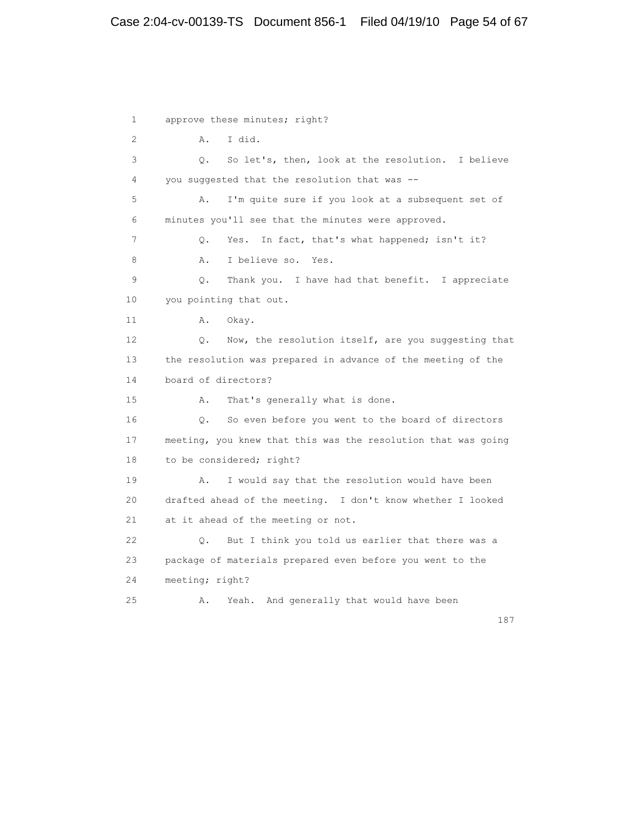# Case 2:04-cv-00139-TS Document 856-1 Filed 04/19/10 Page 54 of 67

 1 approve these minutes; right? 2 A. I did. 3 Q. So let's, then, look at the resolution. I believe 4 you suggested that the resolution that was -- 5 A. I'm quite sure if you look at a subsequent set of 6 minutes you'll see that the minutes were approved. 7 Q. Yes. In fact, that's what happened; isn't it? 8 A. I believe so. Yes. 9 Q. Thank you. I have had that benefit. I appreciate 10 you pointing that out. 11 A. Okay. 12 Q. Now, the resolution itself, are you suggesting that 13 the resolution was prepared in advance of the meeting of the 14 board of directors? 15 A. That's generally what is done. 16 Q. So even before you went to the board of directors 17 meeting, you knew that this was the resolution that was going 18 to be considered; right? 19 A. I would say that the resolution would have been 20 drafted ahead of the meeting. I don't know whether I looked 21 at it ahead of the meeting or not. 22 Q. But I think you told us earlier that there was a 23 package of materials prepared even before you went to the 24 meeting; right? 25 A. Yeah. And generally that would have been

187<sup>2</sup>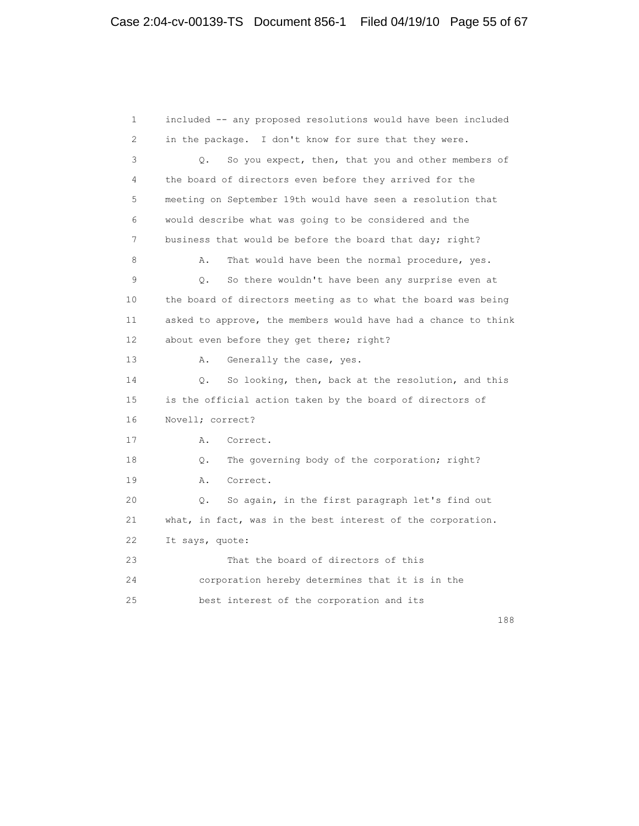1 included -- any proposed resolutions would have been included 2 in the package. I don't know for sure that they were. 3 Q. So you expect, then, that you and other members of 4 the board of directors even before they arrived for the 5 meeting on September 19th would have seen a resolution that 6 would describe what was going to be considered and the 7 business that would be before the board that day; right? 8 A. That would have been the normal procedure, yes. 9 Q. So there wouldn't have been any surprise even at 10 the board of directors meeting as to what the board was being 11 asked to approve, the members would have had a chance to think 12 about even before they get there; right? 13 A. Generally the case, yes. 14 Q. So looking, then, back at the resolution, and this 15 is the official action taken by the board of directors of 16 Novell; correct? 17 A. Correct. 18 Q. The governing body of the corporation; right? 19 A. Correct. 20 Q. So again, in the first paragraph let's find out 21 what, in fact, was in the best interest of the corporation. 22 It says, quote: 23 That the board of directors of this 24 corporation hereby determines that it is in the 25 best interest of the corporation and its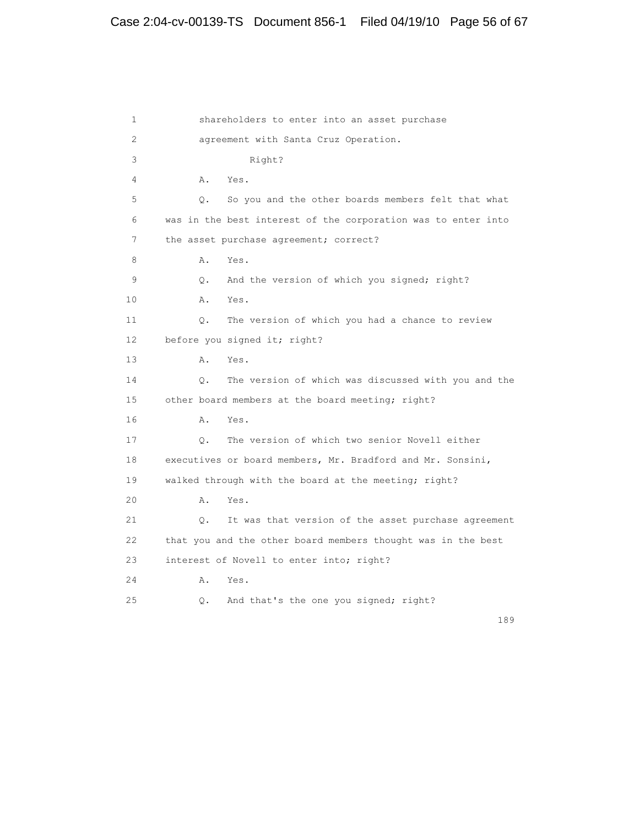1 shareholders to enter into an asset purchase 2 agreement with Santa Cruz Operation. 3 Right? 4 A. Yes. 5 Q. So you and the other boards members felt that what 6 was in the best interest of the corporation was to enter into 7 the asset purchase agreement; correct? 8 A. Yes. 9 Q. And the version of which you signed; right? 10 A. Yes. 11 Q. The version of which you had a chance to review 12 before you signed it; right? 13 A. Yes. 14 Q. The version of which was discussed with you and the 15 other board members at the board meeting; right? 16 A. Yes. 17 Q. The version of which two senior Novell either 18 executives or board members, Mr. Bradford and Mr. Sonsini, 19 walked through with the board at the meeting; right? 20 A. Yes. 21 Q. It was that version of the asset purchase agreement 22 that you and the other board members thought was in the best 23 interest of Novell to enter into; right? 24 A. Yes. 25 Q. And that's the one you signed; right?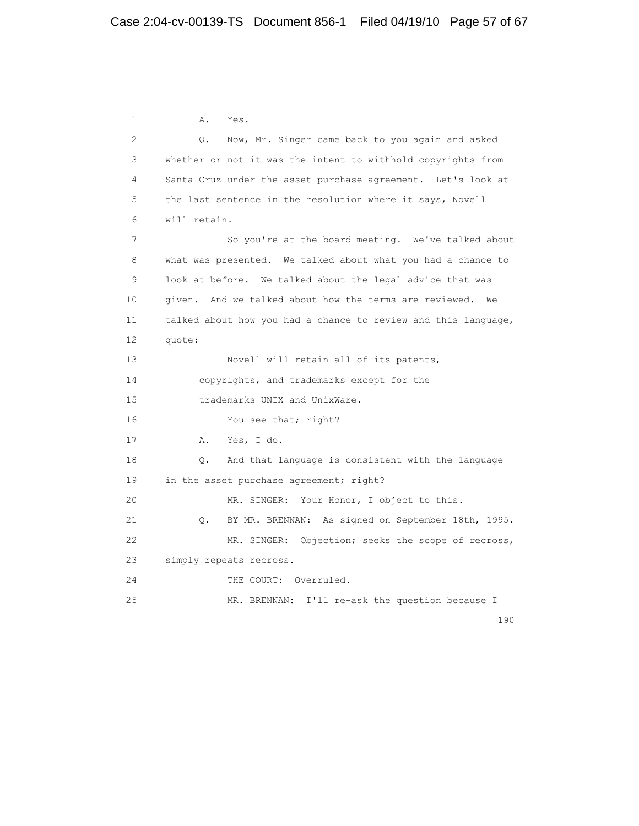1 A. Yes. 2 Q. Now, Mr. Singer came back to you again and asked 3 whether or not it was the intent to withhold copyrights from 4 Santa Cruz under the asset purchase agreement. Let's look at 5 the last sentence in the resolution where it says, Novell 6 will retain. 7 So you're at the board meeting. We've talked about 8 what was presented. We talked about what you had a chance to 9 look at before. We talked about the legal advice that was 10 given. And we talked about how the terms are reviewed. We 11 talked about how you had a chance to review and this language, 12 quote: 13 Novell will retain all of its patents, 14 copyrights, and trademarks except for the 15 trademarks UNIX and UnixWare. 16 You see that; right? 17 A. Yes, I do. 18 Q. And that language is consistent with the language 19 in the asset purchase agreement; right? 20 MR. SINGER: Your Honor, I object to this. 21 Q. BY MR. BRENNAN: As signed on September 18th, 1995. 22 MR. SINGER: Objection; seeks the scope of recross, 23 simply repeats recross. 24 THE COURT: Overruled. 25 MR. BRENNAN: I'll re-ask the question because I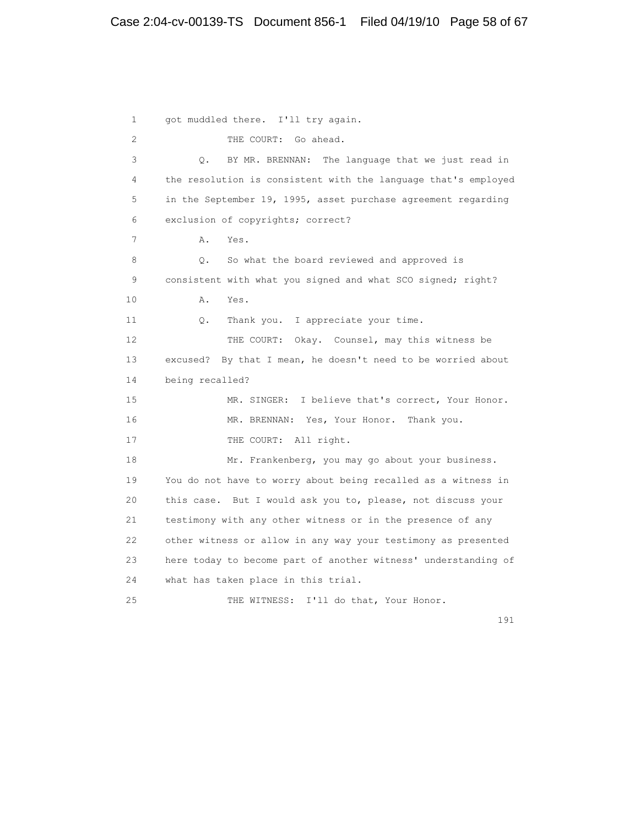1 got muddled there. I'll try again. 2 THE COURT: Go ahead. 3 Q. BY MR. BRENNAN: The language that we just read in 4 the resolution is consistent with the language that's employed 5 in the September 19, 1995, asset purchase agreement regarding 6 exclusion of copyrights; correct? 7 A. Yes. 8 Q. So what the board reviewed and approved is 9 consistent with what you signed and what SCO signed; right? 10 A. Yes. 11 Q. Thank you. I appreciate your time. 12 THE COURT: Okay. Counsel, may this witness be 13 excused? By that I mean, he doesn't need to be worried about 14 being recalled? 15 MR. SINGER: I believe that's correct, Your Honor. 16 MR. BRENNAN: Yes, Your Honor. Thank you. 17 THE COURT: All right. 18 Mr. Frankenberg, you may go about your business. 19 You do not have to worry about being recalled as a witness in 20 this case. But I would ask you to, please, not discuss your 21 testimony with any other witness or in the presence of any 22 other witness or allow in any way your testimony as presented 23 here today to become part of another witness' understanding of 24 what has taken place in this trial. 25 THE WITNESS: I'll do that, Your Honor.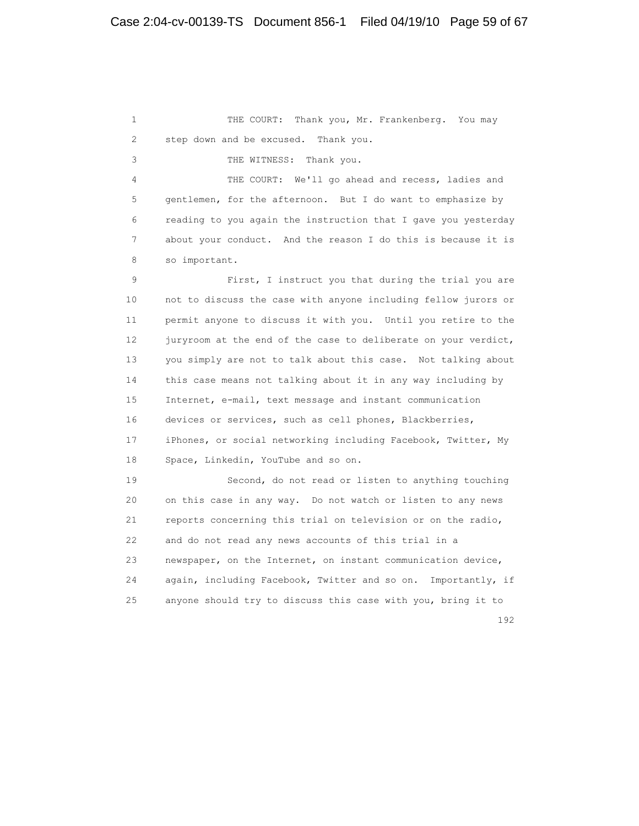1 THE COURT: Thank you, Mr. Frankenberg. You may 2 step down and be excused. Thank you. 3 THE WITNESS: Thank you. 4 THE COURT: We'll go ahead and recess, ladies and 5 gentlemen, for the afternoon. But I do want to emphasize by 6 reading to you again the instruction that I gave you yesterday 7 about your conduct. And the reason I do this is because it is 8 so important. 9 First, I instruct you that during the trial you are 10 not to discuss the case with anyone including fellow jurors or 11 permit anyone to discuss it with you. Until you retire to the 12 juryroom at the end of the case to deliberate on your verdict, 13 you simply are not to talk about this case. Not talking about 14 this case means not talking about it in any way including by 15 Internet, e-mail, text message and instant communication 16 devices or services, such as cell phones, Blackberries, 17 iPhones, or social networking including Facebook, Twitter, My 18 Space, Linkedin, YouTube and so on. 19 Second, do not read or listen to anything touching 20 on this case in any way. Do not watch or listen to any news 21 reports concerning this trial on television or on the radio, 22 and do not read any news accounts of this trial in a 23 newspaper, on the Internet, on instant communication device, 24 again, including Facebook, Twitter and so on. Importantly, if 25 anyone should try to discuss this case with you, bring it to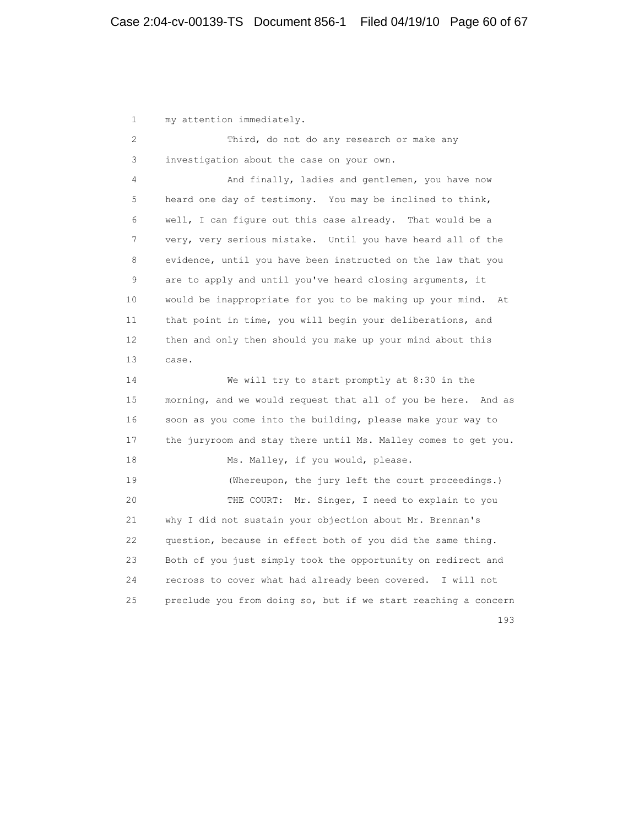1 my attention immediately. 2 Third, do not do any research or make any 3 investigation about the case on your own. 4 And finally, ladies and gentlemen, you have now 5 heard one day of testimony. You may be inclined to think, 6 well, I can figure out this case already. That would be a 7 very, very serious mistake. Until you have heard all of the 8 evidence, until you have been instructed on the law that you 9 are to apply and until you've heard closing arguments, it 10 would be inappropriate for you to be making up your mind. At 11 that point in time, you will begin your deliberations, and 12 then and only then should you make up your mind about this 13 case. 14 We will try to start promptly at 8:30 in the 15 morning, and we would request that all of you be here. And as 16 soon as you come into the building, please make your way to 17 the juryroom and stay there until Ms. Malley comes to get you. 18 Ms. Malley, if you would, please. 19 (Whereupon, the jury left the court proceedings.) 20 THE COURT: Mr. Singer, I need to explain to you 21 why I did not sustain your objection about Mr. Brennan's 22 question, because in effect both of you did the same thing. 23 Both of you just simply took the opportunity on redirect and 24 recross to cover what had already been covered. I will not 25 preclude you from doing so, but if we start reaching a concern 193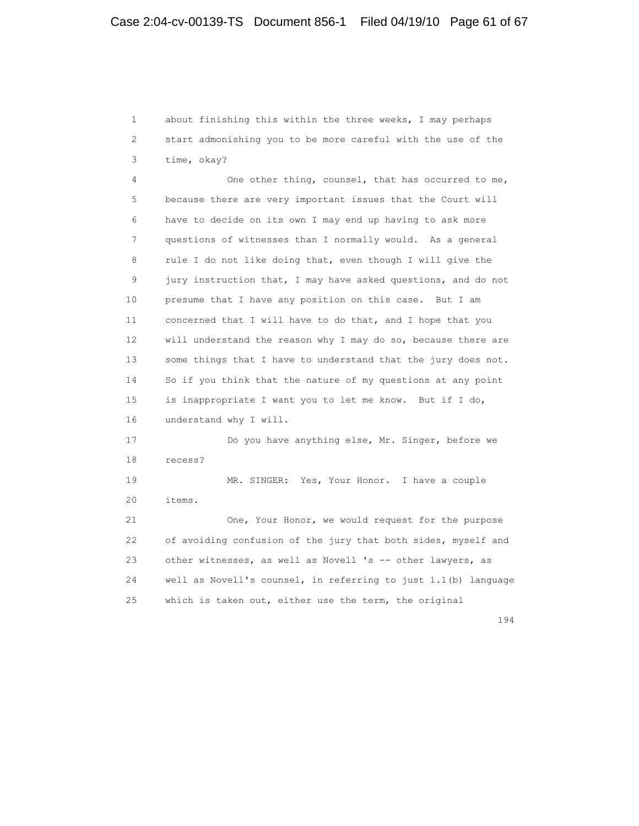1 about finishing this within the three weeks, I may perhaps 2 start admonishing you to be more careful with the use of the 3 time, okay?

 4 One other thing, counsel, that has occurred to me, 5 because there are very important issues that the Court will 6 have to decide on its own I may end up having to ask more 7 questions of witnesses than I normally would. As a general 8 rule I do not like doing that, even though I will give the 9 jury instruction that, I may have asked questions, and do not 10 presume that I have any position on this case. But I am 11 concerned that I will have to do that, and I hope that you 12 will understand the reason why I may do so, because there are 13 some things that I have to understand that the jury does not. 14 So if you think that the nature of my questions at any point 15 is inappropriate I want you to let me know. But if I do, 16 understand why I will. 17 Do you have anything else, Mr. Singer, before we

18 recess?

 19 MR. SINGER: Yes, Your Honor. I have a couple 20 items.

 21 One, Your Honor, we would request for the purpose 22 of avoiding confusion of the jury that both sides, myself and 23 other witnesses, as well as Novell 's -- other lawyers, as 24 well as Novell's counsel, in referring to just 1.1(b) language 25 which is taken out, either use the term, the original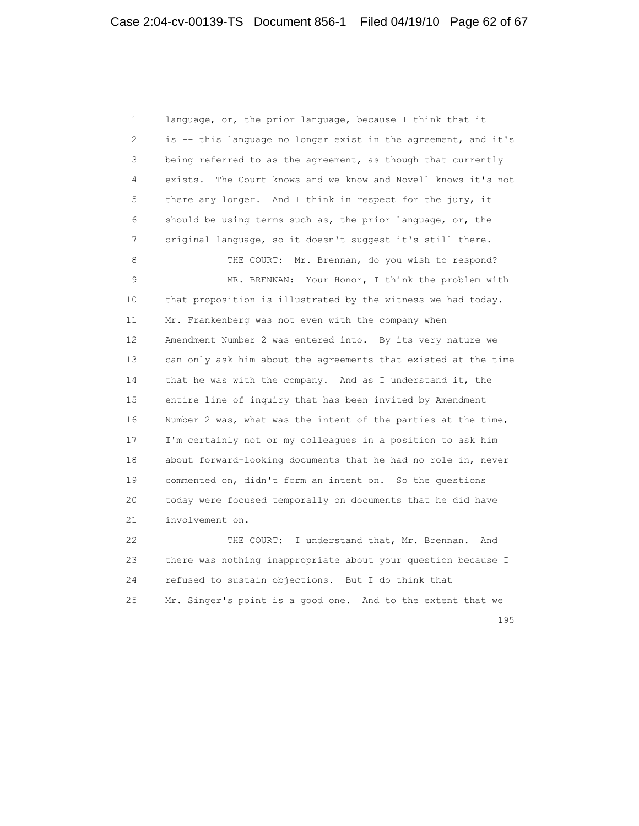1 language, or, the prior language, because I think that it 2 is -- this language no longer exist in the agreement, and it's 3 being referred to as the agreement, as though that currently 4 exists. The Court knows and we know and Novell knows it's not 5 there any longer. And I think in respect for the jury, it 6 should be using terms such as, the prior language, or, the 7 original language, so it doesn't suggest it's still there. 8 THE COURT: Mr. Brennan, do you wish to respond? 9 MR. BRENNAN: Your Honor, I think the problem with 10 that proposition is illustrated by the witness we had today. 11 Mr. Frankenberg was not even with the company when 12 Amendment Number 2 was entered into. By its very nature we 13 can only ask him about the agreements that existed at the time 14 that he was with the company. And as I understand it, the 15 entire line of inquiry that has been invited by Amendment 16 Number 2 was, what was the intent of the parties at the time, 17 I'm certainly not or my colleagues in a position to ask him 18 about forward-looking documents that he had no role in, never 19 commented on, didn't form an intent on. So the questions 20 today were focused temporally on documents that he did have 21 involvement on. 22 THE COURT: I understand that, Mr. Brennan. And 23 there was nothing inappropriate about your question because I

 24 refused to sustain objections. But I do think that 25 Mr. Singer's point is a good one. And to the extent that we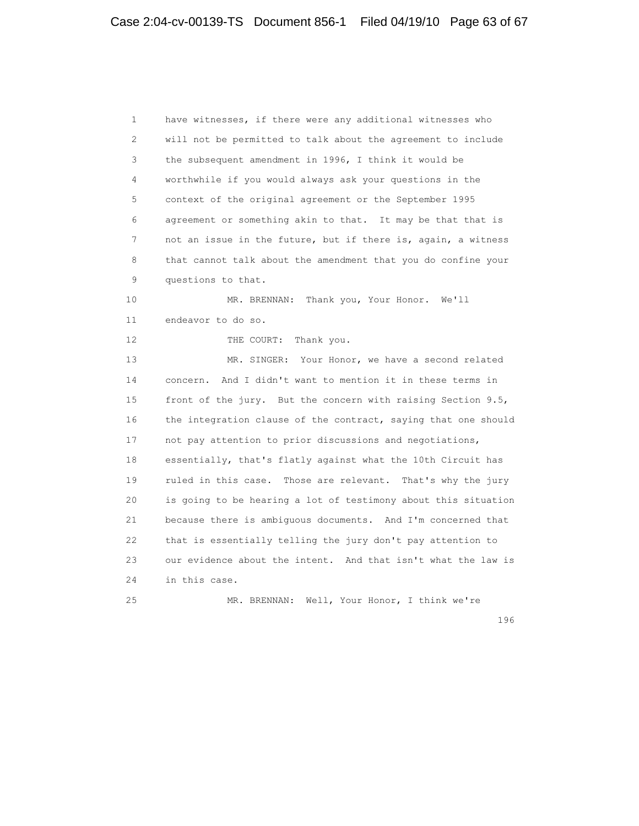1 have witnesses, if there were any additional witnesses who 2 will not be permitted to talk about the agreement to include 3 the subsequent amendment in 1996, I think it would be 4 worthwhile if you would always ask your questions in the 5 context of the original agreement or the September 1995 6 agreement or something akin to that. It may be that that is 7 not an issue in the future, but if there is, again, a witness 8 that cannot talk about the amendment that you do confine your 9 questions to that. 10 MR. BRENNAN: Thank you, Your Honor. We'll 11 endeavor to do so. 12 THE COURT: Thank you. 13 MR. SINGER: Your Honor, we have a second related 14 concern. And I didn't want to mention it in these terms in 15 front of the jury. But the concern with raising Section 9.5, 16 the integration clause of the contract, saying that one should 17 not pay attention to prior discussions and negotiations, 18 essentially, that's flatly against what the 10th Circuit has 19 ruled in this case. Those are relevant. That's why the jury 20 is going to be hearing a lot of testimony about this situation 21 because there is ambiguous documents. And I'm concerned that 22 that is essentially telling the jury don't pay attention to 23 our evidence about the intent. And that isn't what the law is 24 in this case. 25 MR. BRENNAN: Well, Your Honor, I think we're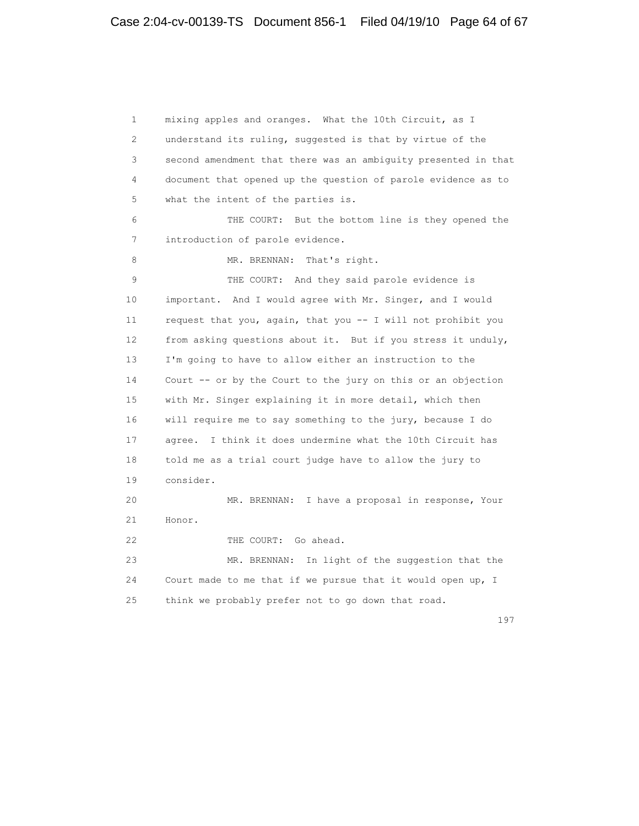1 mixing apples and oranges. What the 10th Circuit, as I 2 understand its ruling, suggested is that by virtue of the 3 second amendment that there was an ambiguity presented in that 4 document that opened up the question of parole evidence as to 5 what the intent of the parties is. 6 THE COURT: But the bottom line is they opened the 7 introduction of parole evidence. 8 MR. BRENNAN: That's right. 9 THE COURT: And they said parole evidence is 10 important. And I would agree with Mr. Singer, and I would 11 request that you, again, that you -- I will not prohibit you 12 from asking questions about it. But if you stress it unduly, 13 I'm going to have to allow either an instruction to the 14 Court -- or by the Court to the jury on this or an objection 15 with Mr. Singer explaining it in more detail, which then 16 will require me to say something to the jury, because I do 17 agree. I think it does undermine what the 10th Circuit has 18 told me as a trial court judge have to allow the jury to 19 consider. 20 MR. BRENNAN: I have a proposal in response, Your 21 Honor. 22 THE COURT: Go ahead. 23 MR. BRENNAN: In light of the suggestion that the 24 Court made to me that if we pursue that it would open up, I 25 think we probably prefer not to go down that road.

197<sup>2</sup>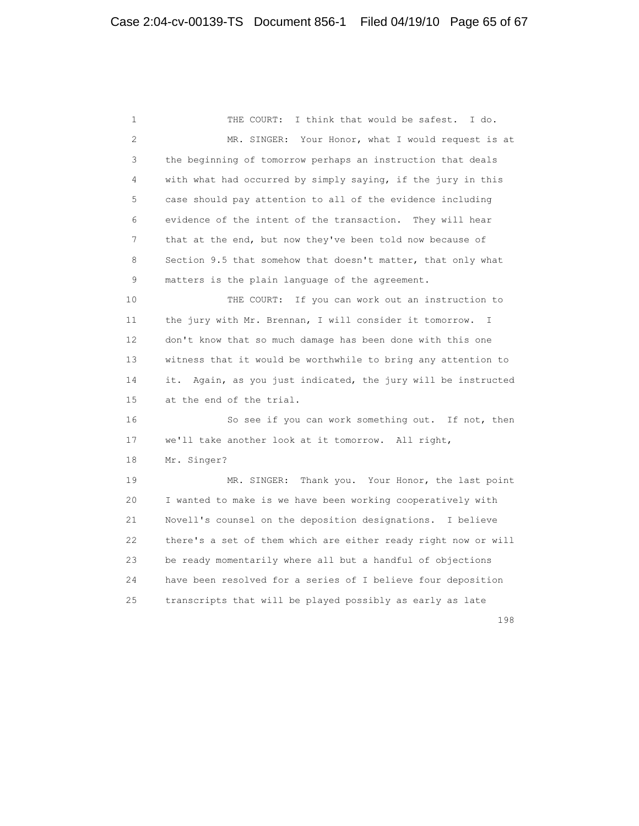1 THE COURT: I think that would be safest. I do. 2 MR. SINGER: Your Honor, what I would request is at 3 the beginning of tomorrow perhaps an instruction that deals 4 with what had occurred by simply saying, if the jury in this 5 case should pay attention to all of the evidence including 6 evidence of the intent of the transaction. They will hear 7 that at the end, but now they've been told now because of 8 Section 9.5 that somehow that doesn't matter, that only what 9 matters is the plain language of the agreement. 10 THE COURT: If you can work out an instruction to 11 the jury with Mr. Brennan, I will consider it tomorrow. I 12 don't know that so much damage has been done with this one 13 witness that it would be worthwhile to bring any attention to 14 it. Again, as you just indicated, the jury will be instructed 15 at the end of the trial. 16 So see if you can work something out. If not, then 17 we'll take another look at it tomorrow. All right, 18 Mr. Singer? 19 MR. SINGER: Thank you. Your Honor, the last point 20 I wanted to make is we have been working cooperatively with 21 Novell's counsel on the deposition designations. I believe 22 there's a set of them which are either ready right now or will 23 be ready momentarily where all but a handful of objections 24 have been resolved for a series of I believe four deposition 25 transcripts that will be played possibly as early as late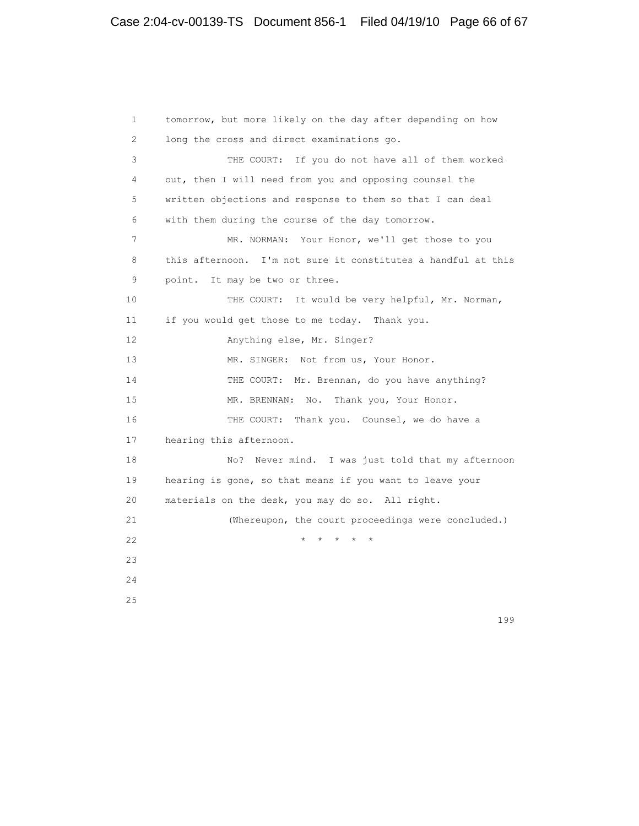1 tomorrow, but more likely on the day after depending on how 2 long the cross and direct examinations go. 3 THE COURT: If you do not have all of them worked 4 out, then I will need from you and opposing counsel the 5 written objections and response to them so that I can deal 6 with them during the course of the day tomorrow. 7 MR. NORMAN: Your Honor, we'll get those to you 8 this afternoon. I'm not sure it constitutes a handful at this 9 point. It may be two or three. 10 THE COURT: It would be very helpful, Mr. Norman, 11 if you would get those to me today. Thank you. 12 Anything else, Mr. Singer? 13 MR. SINGER: Not from us, Your Honor. 14 THE COURT: Mr. Brennan, do you have anything? 15 MR. BRENNAN: No. Thank you, Your Honor. 16 THE COURT: Thank you. Counsel, we do have a 17 hearing this afternoon. 18 No? Never mind. I was just told that my afternoon 19 hearing is gone, so that means if you want to leave your 20 materials on the desk, you may do so. All right. 21 (Whereupon, the court proceedings were concluded.) 22 **\* \* \* \* \* \***  23 24 25